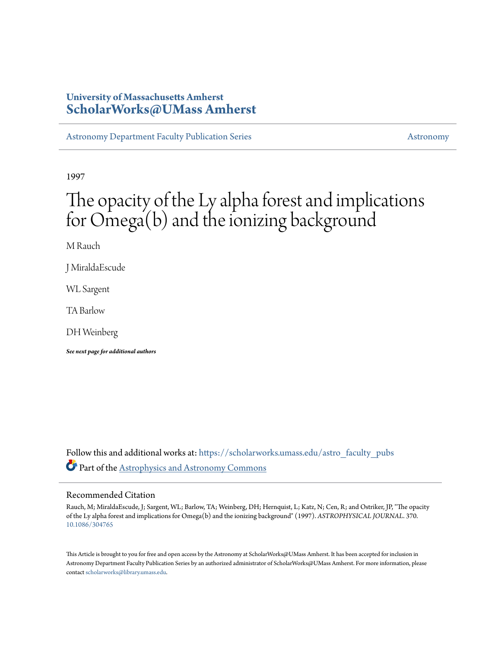# **University of Massachusetts Amherst [ScholarWorks@UMass Amherst](https://scholarworks.umass.edu?utm_source=scholarworks.umass.edu%2Fastro_faculty_pubs%2F370&utm_medium=PDF&utm_campaign=PDFCoverPages)**

[Astronomy Department Faculty Publication Series](https://scholarworks.umass.edu/astro_faculty_pubs?utm_source=scholarworks.umass.edu%2Fastro_faculty_pubs%2F370&utm_medium=PDF&utm_campaign=PDFCoverPages) [Astronomy](https://scholarworks.umass.edu/astro?utm_source=scholarworks.umass.edu%2Fastro_faculty_pubs%2F370&utm_medium=PDF&utm_campaign=PDFCoverPages) Astronomy

1997

# The opacity of the Ly alpha forest and implications for Omega(b) and the ionizing background

M Rauch

J MiraldaEscude

WL Sargent

TA Barlow

DH Weinberg

*See next page for additional authors*

Follow this and additional works at: [https://scholarworks.umass.edu/astro\\_faculty\\_pubs](https://scholarworks.umass.edu/astro_faculty_pubs?utm_source=scholarworks.umass.edu%2Fastro_faculty_pubs%2F370&utm_medium=PDF&utm_campaign=PDFCoverPages) Part of the [Astrophysics and Astronomy Commons](http://network.bepress.com/hgg/discipline/123?utm_source=scholarworks.umass.edu%2Fastro_faculty_pubs%2F370&utm_medium=PDF&utm_campaign=PDFCoverPages)

# Recommended Citation

Rauch, M; MiraldaEscude, J; Sargent, WL; Barlow, TA; Weinberg, DH; Hernquist, L; Katz, N; Cen, R; and Ostriker, JP, "The opacity of the Ly alpha forest and implications for Omega(b) and the ionizing background" (1997). *ASTROPHYSICAL JOURNAL*. 370. <10.1086/304765>

This Article is brought to you for free and open access by the Astronomy at ScholarWorks@UMass Amherst. It has been accepted for inclusion in Astronomy Department Faculty Publication Series by an authorized administrator of ScholarWorks@UMass Amherst. For more information, please contact [scholarworks@library.umass.edu](mailto:scholarworks@library.umass.edu).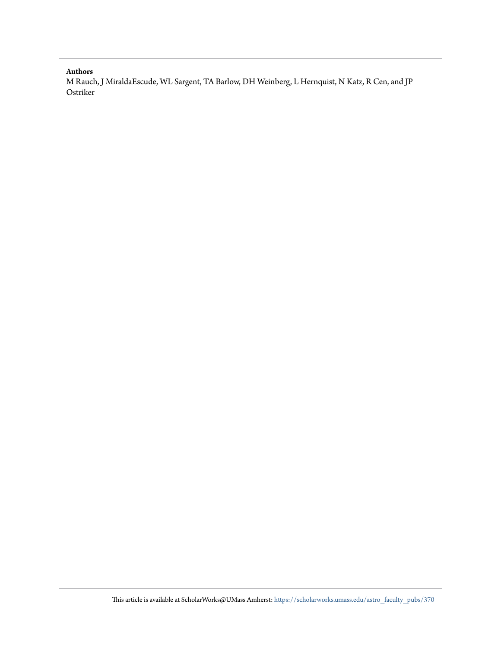# **Authors**

M Rauch, J MiraldaEscude, WL Sargent, TA Barlow, DH Weinberg, L Hernquist, N Katz, R Cen, and JP Ostriker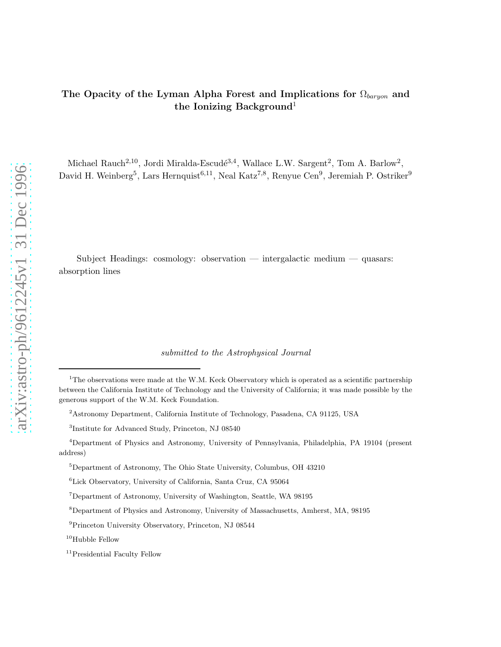# The Opacity of the Lyman Alpha Forest and Implications for  $\Omega_{barrow}$  and the Ionizing Background<sup>1</sup>

Michael Rauch<sup>2,10</sup>, Jordi Miralda-Escudé<sup>3,4</sup>, Wallace L.W. Sargent<sup>2</sup>, Tom A. Barlow<sup>2</sup>, David H. Weinberg<sup>5</sup>, Lars Hernquist<sup>6,11</sup>, Neal Katz<sup>7,8</sup>, Renyue Cen<sup>9</sup>, Jeremiah P. Ostriker<sup>9</sup>

Subject Headings: cosmology: observation — intergalactic medium — quasars: absorption lines

submitted to the Astrophysical Journal

<sup>&</sup>lt;sup>1</sup>The observations were made at the W.M. Keck Observatory which is operated as a scientific partnership between the California Institute of Technology and the University of California; it was made possible by the generous support of the W.M. Keck Foundation.

<sup>2</sup>Astronomy Department, California Institute of Technology, Pasadena, CA 91125, USA

<sup>3</sup> Institute for Advanced Study, Princeton, NJ 08540

<sup>4</sup>Department of Physics and Astronomy, University of Pennsylvania, Philadelphia, PA 19104 (present address)

 $5$ Department of Astronomy, The Ohio State University, Columbus, OH  $43210\,$ 

<sup>6</sup>Lick Observatory, University of California, Santa Cruz, CA 95064

<sup>7</sup>Department of Astronomy, University of Washington, Seattle, WA 98195

<sup>8</sup>Department of Physics and Astronomy, University of Massachusetts, Amherst, MA, 98195

<sup>9</sup>Princeton University Observatory, Princeton, NJ 08544

<sup>&</sup>lt;sup>10</sup>Hubble Fellow

<sup>&</sup>lt;sup>11</sup> Presidential Faculty Fellow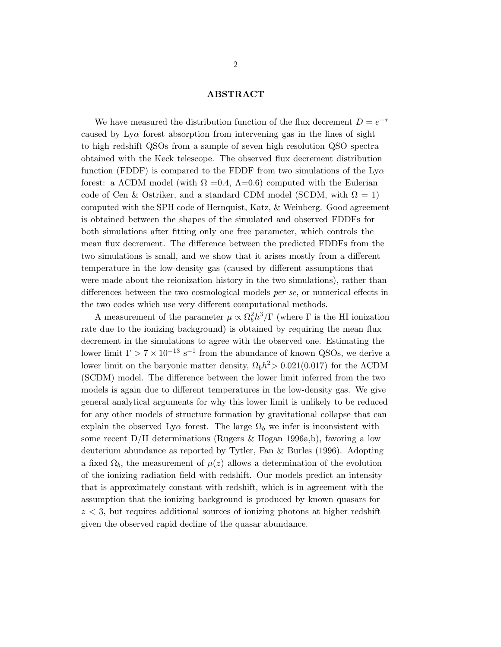# ABSTRACT

We have measured the distribution function of the flux decrement  $D = e^{-\tau}$ caused by  $Ly\alpha$  forest absorption from intervening gas in the lines of sight to high redshift QSOs from a sample of seven high resolution QSO spectra obtained with the Keck telescope. The observed flux decrement distribution function (FDDF) is compared to the FDDF from two simulations of the  $Ly\alpha$ forest: a  $\Lambda$ CDM model (with  $\Omega = 0.4$ ,  $\Lambda = 0.6$ ) computed with the Eulerian code of Cen & Ostriker, and a standard CDM model (SCDM, with  $\Omega = 1$ ) computed with the SPH code of Hernquist, Katz, & Weinberg. Good agreement is obtained between the shapes of the simulated and observed FDDFs for both simulations after fitting only one free parameter, which controls the mean flux decrement. The difference between the predicted FDDFs from the two simulations is small, and we show that it arises mostly from a different temperature in the low-density gas (caused by different assumptions that were made about the reionization history in the two simulations), rather than differences between the two cosmological models per se, or numerical effects in the two codes which use very different computational methods.

A measurement of the parameter  $\mu \propto \Omega_b^2$  $\frac{2}{b}h^3/\Gamma$  (where  $\Gamma$  is the HI ionization rate due to the ionizing background) is obtained by requiring the mean flux decrement in the simulations to agree with the observed one. Estimating the lower limit  $\Gamma > 7 \times 10^{-13}$  s<sup>-1</sup> from the abundance of known QSOs, we derive a lower limit on the baryonic matter density,  $\Omega_b h^2 > 0.021(0.017)$  for the  $\Lambda$ CDM (SCDM) model. The difference between the lower limit inferred from the two models is again due to different temperatures in the low-density gas. We give general analytical arguments for why this lower limit is unlikely to be reduced for any other models of structure formation by gravitational collapse that can explain the observed Ly $\alpha$  forest. The large  $\Omega_b$  we infer is inconsistent with some recent D/H determinations (Rugers & Hogan 1996a,b), favoring a low deuterium abundance as reported by Tytler, Fan & Burles (1996). Adopting a fixed  $\Omega_b$ , the measurement of  $\mu(z)$  allows a determination of the evolution of the ionizing radiation field with redshift. Our models predict an intensity that is approximately constant with redshift, which is in agreement with the assumption that the ionizing background is produced by known quasars for  $z < 3$ , but requires additional sources of ionizing photons at higher redshift given the observed rapid decline of the quasar abundance.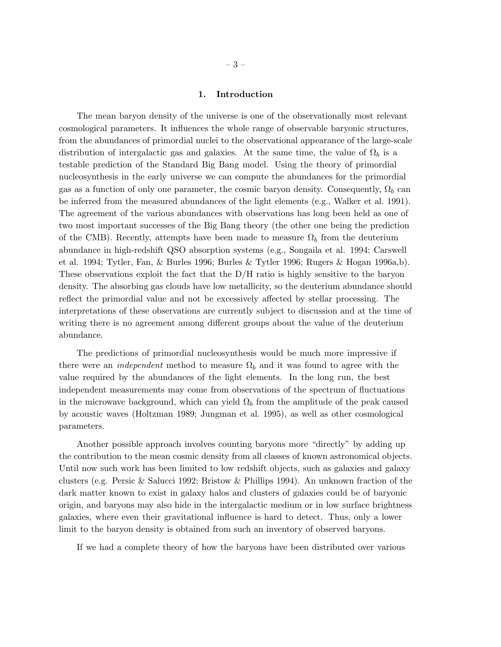#### 1. Introduction

The mean baryon density of the universe is one of the observationally most relevant cosmological parameters. It influences the whole range of observable baryonic structures, from the abundances of primordial nuclei to the observational appearance of the large-scale distribution of intergalactic gas and galaxies. At the same time, the value of  $\Omega_b$  is a testable prediction of the Standard Big Bang model. Using the theory of primordial nucleosynthesis in the early universe we can compute the abundances for the primordial gas as a function of only one parameter, the cosmic baryon density. Consequently,  $\Omega_b$  can be inferred from the measured abundances of the light elements (e.g., Walker et al. 1991). The agreement of the various abundances with observations has long been held as one of two most important successes of the Big Bang theory (the other one being the prediction of the CMB). Recently, attempts have been made to measure  $\Omega_b$  from the deuterium abundance in high-redshift QSO absorption systems (e.g., Songaila et al. 1994; Carswell et al. 1994; Tytler, Fan, & Burles 1996; Burles & Tytler 1996; Rugers & Hogan 1996a,b). These observations exploit the fact that the  $D/H$  ratio is highly sensitive to the baryon density. The absorbing gas clouds have low metallicity, so the deuterium abundance should reflect the primordial value and not be excessively affected by stellar processing. The interpretations of these observations are currently subject to discussion and at the time of writing there is no agreement among different groups about the value of the deuterium abundance.

The predictions of primordial nucleosynthesis would be much more impressive if there were an *independent* method to measure  $\Omega_b$  and it was found to agree with the value required by the abundances of the light elements. In the long run, the best independent measurements may come from observations of the spectrum of fluctuations in the microwave background, which can yield  $\Omega_b$  from the amplitude of the peak caused by acoustic waves (Holtzman 1989; Jungman et al. 1995), as well as other cosmological parameters.

Another possible approach involves counting baryons more "directly" by adding up the contribution to the mean cosmic density from all classes of known astronomical objects. Until now such work has been limited to low redshift objects, such as galaxies and galaxy clusters (e.g. Persic & Salucci 1992; Bristow & Phillips 1994). An unknown fraction of the dark matter known to exist in galaxy halos and clusters of galaxies could be of baryonic origin, and baryons may also hide in the intergalactic medium or in low surface brightness galaxies, where even their gravitational influence is hard to detect. Thus, only a lower limit to the baryon density is obtained from such an inventory of observed baryons.

If we had a complete theory of how the baryons have been distributed over various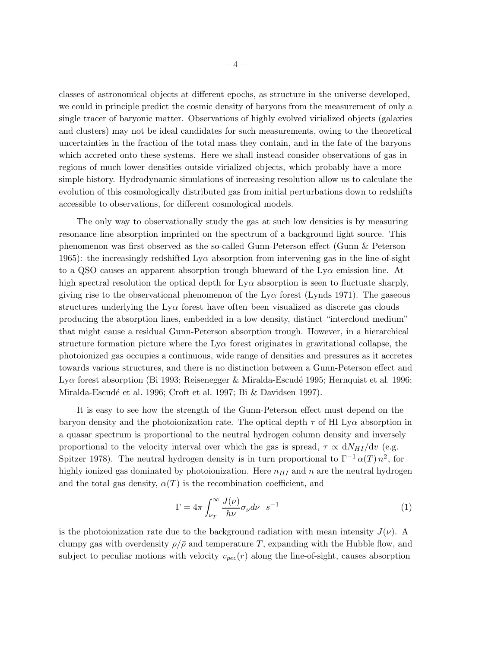classes of astronomical objects at different epochs, as structure in the universe developed, we could in principle predict the cosmic density of baryons from the measurement of only a single tracer of baryonic matter. Observations of highly evolved virialized objects (galaxies and clusters) may not be ideal candidates for such measurements, owing to the theoretical uncertainties in the fraction of the total mass they contain, and in the fate of the baryons which accreted onto these systems. Here we shall instead consider observations of gas in regions of much lower densities outside virialized objects, which probably have a more simple history. Hydrodynamic simulations of increasing resolution allow us to calculate the evolution of this cosmologically distributed gas from initial perturbations down to redshifts accessible to observations, for different cosmological models.

The only way to observationally study the gas at such low densities is by measuring resonance line absorption imprinted on the spectrum of a background light source. This phenomenon was first observed as the so-called Gunn-Peterson effect (Gunn & Peterson 1965): the increasingly redshifted  $Ly\alpha$  absorption from intervening gas in the line-of-sight to a QSO causes an apparent absorption trough blueward of the  $Ly\alpha$  emission line. At high spectral resolution the optical depth for  $Ly\alpha$  absorption is seen to fluctuate sharply, giving rise to the observational phenomenon of the Ly $\alpha$  forest (Lynds 1971). The gaseous structures underlying the  $Ly\alpha$  forest have often been visualized as discrete gas clouds producing the absorption lines, embedded in a low density, distinct "intercloud medium" that might cause a residual Gunn-Peterson absorption trough. However, in a hierarchical structure formation picture where the  $Ly\alpha$  forest originates in gravitational collapse, the photoionized gas occupies a continuous, wide range of densities and pressures as it accretes towards various structures, and there is no distinction between a Gunn-Peterson effect and Ly $\alpha$  forest absorption (Bi 1993; Reisenegger & Miralda-Escudé 1995; Hernquist et al. 1996; Miralda-Escudé et al. 1996; Croft et al. 1997; Bi & Davidsen 1997).

It is easy to see how the strength of the Gunn-Peterson effect must depend on the baryon density and the photoionization rate. The optical depth  $\tau$  of HI Ly $\alpha$  absorption in a quasar spectrum is proportional to the neutral hydrogen column density and inversely proportional to the velocity interval over which the gas is spread,  $\tau \propto dN_{HI}/dv$  (e.g. Spitzer 1978). The neutral hydrogen density is in turn proportional to  $\Gamma^{-1} \alpha(T) n^2$ , for highly ionized gas dominated by photoionization. Here  $n_{HI}$  and n are the neutral hydrogen and the total gas density,  $\alpha(T)$  is the recombination coefficient, and

$$
\Gamma = 4\pi \int_{\nu_T}^{\infty} \frac{J(\nu)}{h\nu} \sigma_{\nu} d\nu \quad s^{-1}
$$
 (1)

is the photoionization rate due to the background radiation with mean intensity  $J(\nu)$ . A clumpy gas with overdensity  $\rho/\bar{\rho}$  and temperature T, expanding with the Hubble flow, and subject to peculiar motions with velocity  $v_{pec}(r)$  along the line-of-sight, causes absorption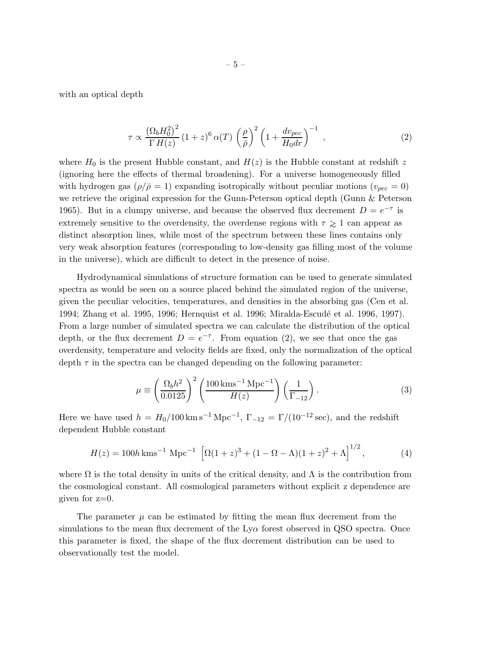<span id="page-6-0"></span>with an optical depth

$$
\tau \propto \frac{\left(\Omega_b H_0^2\right)^2}{\Gamma H(z)} \left(1+z\right)^6 \alpha(T) \left(\frac{\rho}{\bar{\rho}}\right)^2 \left(1 + \frac{dv_{pec}}{H_0 dr}\right)^{-1} ,\qquad (2)
$$

where  $H_0$  is the present Hubble constant, and  $H(z)$  is the Hubble constant at redshift z (ignoring here the effects of thermal broadening). For a universe homogeneously filled with hydrogen gas  $(\rho/\bar{\rho} = 1)$  expanding isotropically without peculiar motions  $(v_{pec} = 0)$ we retrieve the original expression for the Gunn-Peterson optical depth (Gunn & Peterson 1965). But in a clumpy universe, and because the observed flux decrement  $D = e^{-\tau}$  is extremely sensitive to the overdensity, the overdense regions with  $\tau \gtrsim 1$  can appear as distinct absorption lines, while most of the spectrum between these lines contains only very weak absorption features (corresponding to low-density gas filling most of the volume in the universe), which are difficult to detect in the presence of noise.

Hydrodynamical simulations of structure formation can be used to generate simulated spectra as would be seen on a source placed behind the simulated region of the universe, given the peculiar velocities, temperatures, and densities in the absorbing gas (Cen et al. 1994; Zhang et al. 1995, 1996; Hernquist et al. 1996; Miralda-Escudé et al. 1996, 1997). From a large number of simulated spectra we can calculate the distribution of the optical depth, or the flux decrement  $D = e^{-\tau}$ . From equation (2), we see that once the gas overdensity, temperature and velocity fields are fixed, only the normalization of the optical depth  $\tau$  in the spectra can be changed depending on the following parameter:

$$
\mu \equiv \left(\frac{\Omega_b h^2}{0.0125}\right)^2 \left(\frac{100 \,\text{km}\text{s}^{-1} \,\text{Mpc}^{-1}}{H(z)}\right) \left(\frac{1}{\Gamma_{-12}}\right). \tag{3}
$$

Here we have used  $h = H_0/100 \,\mathrm{km\,s^{-1}\,Mpc^{-1}}$ ,  $\Gamma_{-12} = \Gamma/(10^{-12}\,\mathrm{sec})$ , and the redshift dependent Hubble constant

$$
H(z) = 100h \,\mathrm{km s^{-1} \, Mpc^{-1}} \left[ \Omega(1+z)^3 + (1 - \Omega - \Lambda)(1+z)^2 + \Lambda \right]^{1/2},\tag{4}
$$

where  $\Omega$  is the total density in units of the critical density, and  $\Lambda$  is the contribution from the cosmological constant. All cosmological parameters without explicit z dependence are given for  $z=0$ .

The parameter  $\mu$  can be estimated by fitting the mean flux decrement from the simulations to the mean flux decrement of the  $Ly\alpha$  forest observed in QSO spectra. Once this parameter is fixed, the shape of the flux decrement distribution can be used to observationally test the model.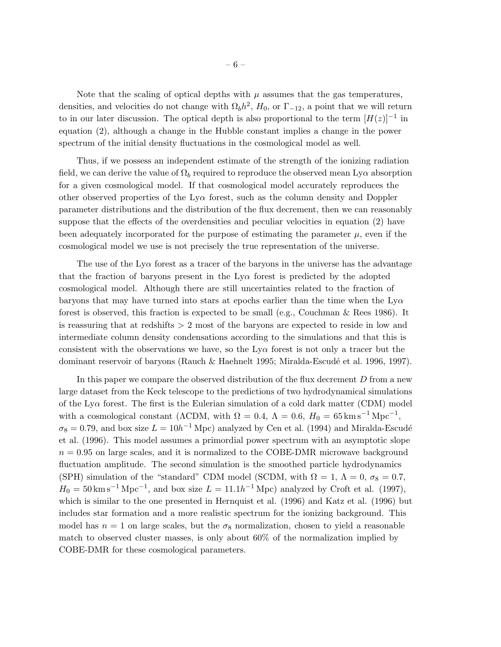Note that the scaling of optical depths with  $\mu$  assumes that the gas temperatures, densities, and velocities do not change with  $\Omega_b h^2$ ,  $H_0$ , or  $\Gamma_{-12}$ , a point that we will return to in our later discussion. The optical depth is also proportional to the term  $[H(z)]^{-1}$  in equation (2), although a change in the Hubble constant implies a change in the power spectrum of the initial density fluctuations in the cosmological model as well.

Thus, if we possess an independent estimate of the strength of the ionizing radiation field, we can derive the value of  $\Omega_b$  required to reproduce the observed mean Ly $\alpha$  absorption for a given cosmological model. If that cosmological model accurately reproduces the other observed properties of the  $Ly\alpha$  forest, such as the column density and Doppler parameter distributions and the distribution of the flux decrement, then we can reasonably suppose that the effects of the overdensities and peculiar velocities in equation (2) have been adequately incorporated for the purpose of estimating the parameter  $\mu$ , even if the cosmological model we use is not precisely the true representation of the universe.

The use of the  $Ly\alpha$  forest as a tracer of the baryons in the universe has the advantage that the fraction of baryons present in the  $Ly\alpha$  forest is predicted by the adopted cosmological model. Although there are still uncertainties related to the fraction of baryons that may have turned into stars at epochs earlier than the time when the  $Ly\alpha$ forest is observed, this fraction is expected to be small (e.g., Couchman & Rees 1986). It is reassuring that at redshifts  $> 2$  most of the baryons are expected to reside in low and intermediate column density condensations according to the simulations and that this is consistent with the observations we have, so the  $Ly\alpha$  forest is not only a tracer but the dominant reservoir of baryons (Rauch & Haehnelt 1995; Miralda-Escudé et al. 1996, 1997).

In this paper we compare the observed distribution of the flux decrement  $D$  from a new large dataset from the Keck telescope to the predictions of two hydrodynamical simulations of the Ly $\alpha$  forest. The first is the Eulerian simulation of a cold dark matter (CDM) model with a cosmological constant ( $\Lambda$ CDM, with  $\Omega = 0.4$ ,  $\Lambda = 0.6$ ,  $H_0 = 65 \,\mathrm{km \, s^{-1} \, Mpc^{-1}}$ ,  $\sigma_8 = 0.79$ , and box size  $L = 10h^{-1}$  Mpc) analyzed by Cen et al. (1994) and Miralda-Escudé et al. (1996). This model assumes a primordial power spectrum with an asymptotic slope  $n = 0.95$  on large scales, and it is normalized to the COBE-DMR microwave background fluctuation amplitude. The second simulation is the smoothed particle hydrodynamics (SPH) simulation of the "standard" CDM model (SCDM, with  $\Omega = 1, \Lambda = 0, \sigma_8 = 0.7$ ,  $H_0 = 50 \,\mathrm{km\,s}^{-1}\,\mathrm{Mpc}^{-1}$ , and box size  $L = 11.1h^{-1}\,\mathrm{Mpc}$ ) analyzed by Croft et al. (1997), which is similar to the one presented in Hernquist et al. (1996) and Katz et al. (1996) but includes star formation and a more realistic spectrum for the ionizing background. This model has  $n = 1$  on large scales, but the  $\sigma_8$  normalization, chosen to yield a reasonable match to observed cluster masses, is only about 60% of the normalization implied by COBE-DMR for these cosmological parameters.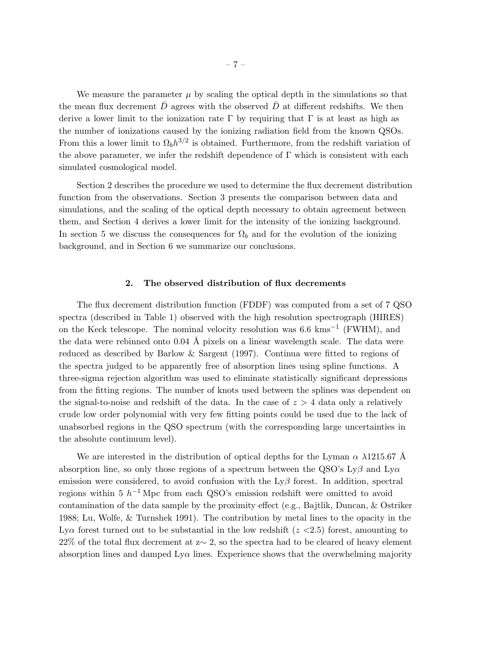We measure the parameter  $\mu$  by scaling the optical depth in the simulations so that the mean flux decrement  $\overline{D}$  agrees with the observed  $D$  at different redshifts. We then derive a lower limit to the ionization rate  $\Gamma$  by requiring that  $\Gamma$  is at least as high as the number of ionizations caused by the ionizing radiation field from the known QSOs. From this a lower limit to  $\Omega_b h^{3/2}$  is obtained. Furthermore, from the redshift variation of the above parameter, we infer the redshift dependence of  $\Gamma$  which is consistent with each simulated cosmological model.

Section 2 describes the procedure we used to determine the flux decrement distribution function from the observations. Section 3 presents the comparison between data and simulations, and the scaling of the optical depth necessary to obtain agreement between them, and Section 4 derives a lower limit for the intensity of the ionizing background. In section 5 we discuss the consequences for  $\Omega_b$  and for the evolution of the ionizing background, and in Section 6 we summarize our conclusions.

## 2. The observed distribution of flux decrements

The flux decrement distribution function (FDDF) was computed from a set of 7 QSO spectra (described in Table 1) observed with the high resolution spectrograph (HIRES) on the Keck telescope. The nominal velocity resolution was  $6.6 \text{ km s}^{-1}$  (FWHM), and the data were rebinned onto  $0.04 \text{ Å}$  pixels on a linear wavelength scale. The data were reduced as described by Barlow & Sargent (1997). Continua were fitted to regions of the spectra judged to be apparently free of absorption lines using spline functions. A three-sigma rejection algorithm was used to eliminate statistically significant depressions from the fitting regions. The number of knots used between the splines was dependent on the signal-to-noise and redshift of the data. In the case of  $z > 4$  data only a relatively crude low order polynomial with very few fitting points could be used due to the lack of unabsorbed regions in the QSO spectrum (with the corresponding large uncertainties in the absolute continuum level).

We are interested in the distribution of optical depths for the Lyman  $\alpha$   $\lambda$ 1215.67 Å absorption line, so only those regions of a spectrum between the QSO's  $Ly\beta$  and  $Ly\alpha$ emission were considered, to avoid confusion with the  $Ly\beta$  forest. In addition, spectral regions within 5  $h^{-1}$  Mpc from each QSO's emission redshift were omitted to avoid contamination of the data sample by the proximity effect (e.g., Bajtlik, Duncan, & Ostriker 1988; Lu, Wolfe, & Turnshek 1991). The contribution by metal lines to the opacity in the Lya forest turned out to be substantial in the low redshift  $(z \lt 2.5)$  forest, amounting to 22% of the total flux decrement at z∼ 2, so the spectra had to be cleared of heavy element absorption lines and damped  $Ly\alpha$  lines. Experience shows that the overwhelming majority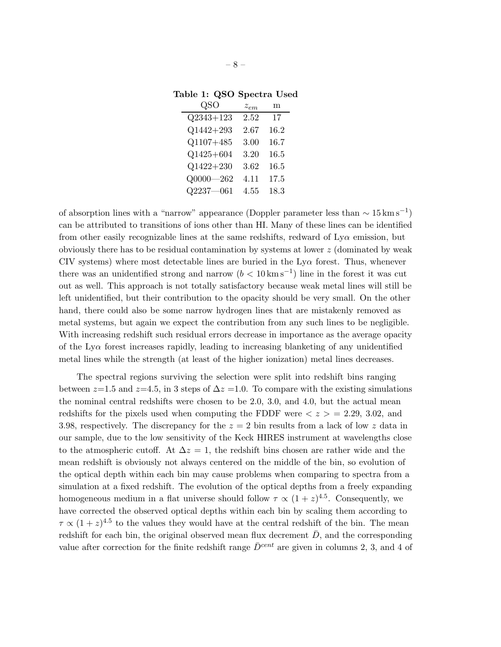| QSO           | $z_{em}$ | m    |
|---------------|----------|------|
| $Q2343 + 123$ | 2.52     | 17   |
| $Q1442 + 293$ | 2.67     | 16.2 |
| $Q1107 + 485$ | 3.00     | 16.7 |
| $Q1425 + 604$ | 3.20     | 16.5 |
| $Q1422 + 230$ | 3.62     | 16.5 |
| $Q0000 - 262$ | 4.11     | 17.5 |
| $Q2237 - 061$ | 4.55     | 18.3 |

Table 1: QSO Spectra Used

of absorption lines with a "narrow" appearance (Doppler parameter less than  $\sim 15 \,\mathrm{km \, s}^{-1}$ ) can be attributed to transitions of ions other than HI. Many of these lines can be identified from other easily recognizable lines at the same redshifts, redward of  $Ly\alpha$  emission, but obviously there has to be residual contamination by systems at lower z (dominated by weak CIV systems) where most detectable lines are buried in the  $Ly\alpha$  forest. Thus, whenever there was an unidentified strong and narrow  $(b < 10 \,\mathrm{km\,s}^{-1})$  line in the forest it was cut out as well. This approach is not totally satisfactory because weak metal lines will still be left unidentified, but their contribution to the opacity should be very small. On the other hand, there could also be some narrow hydrogen lines that are mistakenly removed as metal systems, but again we expect the contribution from any such lines to be negligible. With increasing redshift such residual errors decrease in importance as the average opacity of the Lyα forest increases rapidly, leading to increasing blanketing of any unidentified metal lines while the strength (at least of the higher ionization) metal lines decreases.

The spectral regions surviving the selection were split into redshift bins ranging between  $z=1.5$  and  $z=4.5$ , in 3 steps of  $\Delta z=1.0$ . To compare with the existing simulations the nominal central redshifts were chosen to be 2.0, 3.0, and 4.0, but the actual mean redshifts for the pixels used when computing the FDDF were  $\langle z \rangle = 2.29, 3.02,$  and 3.98, respectively. The discrepancy for the  $z = 2$  bin results from a lack of low z data in our sample, due to the low sensitivity of the Keck HIRES instrument at wavelengths close to the atmospheric cutoff. At  $\Delta z = 1$ , the redshift bins chosen are rather wide and the mean redshift is obviously not always centered on the middle of the bin, so evolution of the optical depth within each bin may cause problems when comparing to spectra from a simulation at a fixed redshift. The evolution of the optical depths from a freely expanding homogeneous medium in a flat universe should follow  $\tau \propto (1+z)^{4.5}$ . Consequently, we have corrected the observed optical depths within each bin by scaling them according to  $\tau \propto (1+z)^{4.5}$  to the values they would have at the central redshift of the bin. The mean redshift for each bin, the original observed mean flux decrement  $\overline{D}$ , and the corresponding value after correction for the finite redshift range  $\bar{D}^{cent}$  are given in columns 2, 3, and 4 of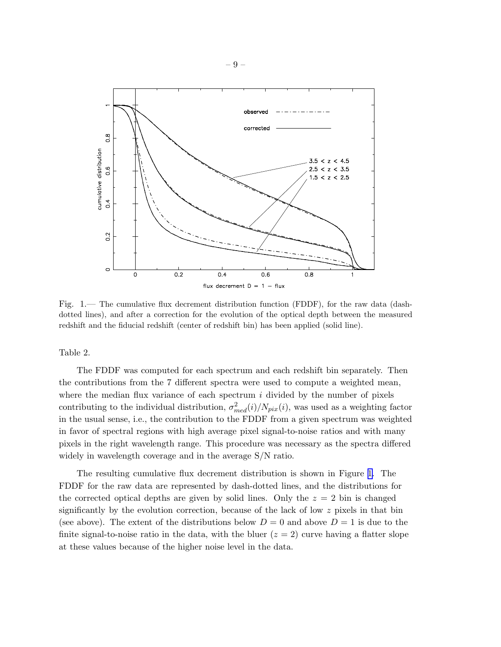

Fig. 1.— The cumulative flux decrement distribution function (FDDF), for the raw data (dashdotted lines), and after a correction for the evolution of the optical depth between the measured redshift and the fiducial redshift (center of redshift bin) has been applied (solid line).

Table 2.

The FDDF was computed for each spectrum and each redshift bin separately. Then the contributions from the 7 different spectra were used to compute a weighted mean, where the median flux variance of each spectrum  $i$  divided by the number of pixels contributing to the individual distribution,  $\sigma_{med}^2(i)/N_{pix}(i)$ , was used as a weighting factor in the usual sense, i.e., the contribution to the FDDF from a given spectrum was weighted in favor of spectral regions with high average pixel signal-to-noise ratios and with many pixels in the right wavelength range. This procedure was necessary as the spectra differed widely in wavelength coverage and in the average S/N ratio.

The resulting cumulative flux decrement distribution is shown in Figure 1. The FDDF for the raw data are represented by dash-dotted lines, and the distributions for the corrected optical depths are given by solid lines. Only the  $z = 2$  bin is changed significantly by the evolution correction, because of the lack of low  $z$  pixels in that bin (see above). The extent of the distributions below  $D = 0$  and above  $D = 1$  is due to the finite signal-to-noise ratio in the data, with the bluer  $(z = 2)$  curve having a flatter slope at these values because of the higher noise level in the data.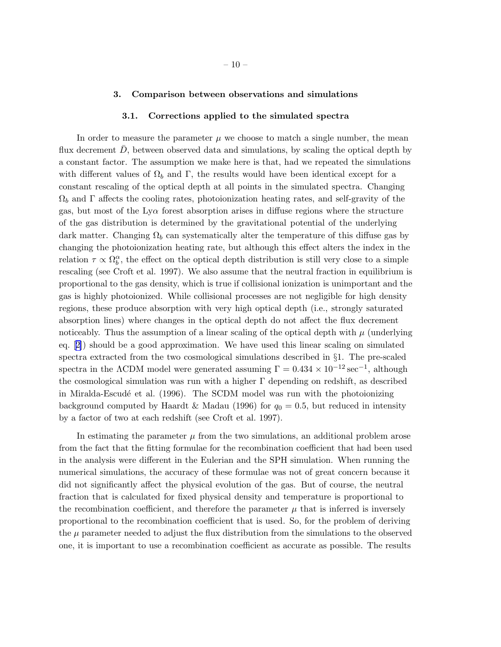#### 3. Comparison between observations and simulations

#### 3.1. Corrections applied to the simulated spectra

In order to measure the parameter  $\mu$  we choose to match a single number, the mean flux decrement  $D$ , between observed data and simulations, by scaling the optical depth by a constant factor. The assumption we make here is that, had we repeated the simulations with different values of  $\Omega_b$  and Γ, the results would have been identical except for a constant rescaling of the optical depth at all points in the simulated spectra. Changing  $\Omega_b$  and Γ affects the cooling rates, photoionization heating rates, and self-gravity of the gas, but most of the  $Ly\alpha$  forest absorption arises in diffuse regions where the structure of the gas distribution is determined by the gravitational potential of the underlying dark matter. Changing  $\Omega_b$  can systematically alter the temperature of this diffuse gas by changing the photoionization heating rate, but although this effect alters the index in the relation  $\tau \propto \Omega_b^{\alpha}$ , the effect on the optical depth distribution is still very close to a simple rescaling (see Croft et al. 1997). We also assume that the neutral fraction in equilibrium is proportional to the gas density, which is true if collisional ionization is unimportant and the gas is highly photoionized. While collisional processes are not negligible for high density regions, these produce absorption with very high optical depth (i.e., strongly saturated absorption lines) where changes in the optical depth do not affect the flux decrement noticeably. Thus the assumption of a linear scaling of the optical depth with  $\mu$  (underlying eq.[[2](#page-6-0)]) should be a good approximation. We have used this linear scaling on simulated spectra extracted from the two cosmological simulations described in §1. The pre-scaled spectra in the  $\Lambda$ CDM model were generated assuming  $\Gamma = 0.434 \times 10^{-12} \text{ sec}^{-1}$ , although the cosmological simulation was run with a higher Γ depending on redshift, as described in Miralda-Escudé et al. (1996). The SCDM model was run with the photoionizing background computed by Haardt & Madau (1996) for  $q_0 = 0.5$ , but reduced in intensity by a factor of two at each redshift (see Croft et al. 1997).

In estimating the parameter  $\mu$  from the two simulations, an additional problem arose from the fact that the fitting formulae for the recombination coefficient that had been used in the analysis were different in the Eulerian and the SPH simulation. When running the numerical simulations, the accuracy of these formulae was not of great concern because it did not significantly affect the physical evolution of the gas. But of course, the neutral fraction that is calculated for fixed physical density and temperature is proportional to the recombination coefficient, and therefore the parameter  $\mu$  that is inferred is inversely proportional to the recombination coefficient that is used. So, for the problem of deriving the  $\mu$  parameter needed to adjust the flux distribution from the simulations to the observed one, it is important to use a recombination coefficient as accurate as possible. The results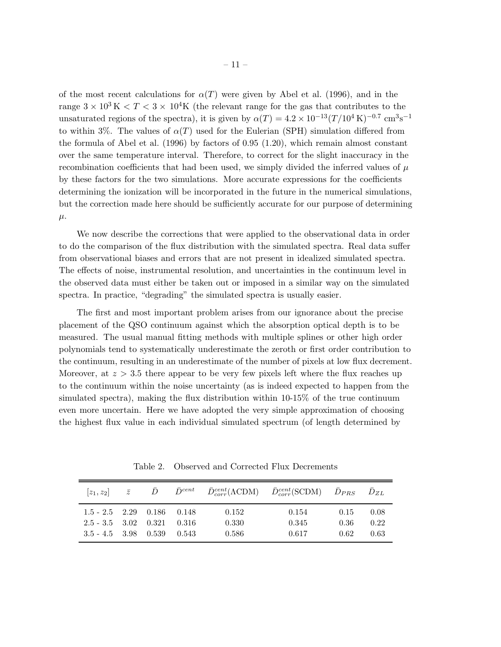of the most recent calculations for  $\alpha(T)$  were given by Abel et al. (1996), and in the range  $3 \times 10^3$  K  $\lt T \lt 3 \lt 10^4$ K (the relevant range for the gas that contributes to the unsaturated regions of the spectra), it is given by  $\alpha(T) = 4.2 \times 10^{-13} (T/10^4 \text{ K})^{-0.7} \text{ cm}^3 \text{s}^{-1}$ to within 3%. The values of  $\alpha(T)$  used for the Eulerian (SPH) simulation differed from the formula of Abel et al. (1996) by factors of 0.95 (1.20), which remain almost constant over the same temperature interval. Therefore, to correct for the slight inaccuracy in the recombination coefficients that had been used, we simply divided the inferred values of  $\mu$ by these factors for the two simulations. More accurate expressions for the coefficients determining the ionization will be incorporated in the future in the numerical simulations, but the correction made here should be sufficiently accurate for our purpose of determining  $\mu$ .

We now describe the corrections that were applied to the observational data in order to do the comparison of the flux distribution with the simulated spectra. Real data suffer from observational biases and errors that are not present in idealized simulated spectra. The effects of noise, instrumental resolution, and uncertainties in the continuum level in the observed data must either be taken out or imposed in a similar way on the simulated spectra. In practice, "degrading" the simulated spectra is usually easier.

The first and most important problem arises from our ignorance about the precise placement of the QSO continuum against which the absorption optical depth is to be measured. The usual manual fitting methods with multiple splines or other high order polynomials tend to systematically underestimate the zeroth or first order contribution to the continuum, resulting in an underestimate of the number of pixels at low flux decrement. Moreover, at  $z > 3.5$  there appear to be very few pixels left where the flux reaches up to the continuum within the noise uncertainty (as is indeed expected to happen from the simulated spectra), making the flux distribution within 10-15% of the true continuum even more uncertain. Here we have adopted the very simple approximation of choosing the highest flux value in each individual simulated spectrum (of length determined by

Table 2. Observed and Corrected Flux Decrements

| $ z_1, z_2 $ $\bar{z}$     | D | $\bar{D}^{cent}$ |       | $\bar{D}_{corr}^{cent}(\Lambda CDM)$ $\bar{D}_{corr}^{cent}(\text{SCDM})$ $\bar{D}_{PRS}$ $\bar{D}_{ZL}$ |      |      |
|----------------------------|---|------------------|-------|----------------------------------------------------------------------------------------------------------|------|------|
| $1.5 - 2.5$ $2.29$ $0.186$ |   | 0.148            | 0.152 | 0.154                                                                                                    | 0.15 | 0.08 |
| $2.5 - 3.5$ $3.02$ $0.321$ |   | - 0.316          | 0.330 | 0.345                                                                                                    | 0.36 | 0.22 |
| $3.5 - 4.5$ $3.98$ $0.539$ |   | 0.543            | 0.586 | 0.617                                                                                                    | 0.62 | 0.63 |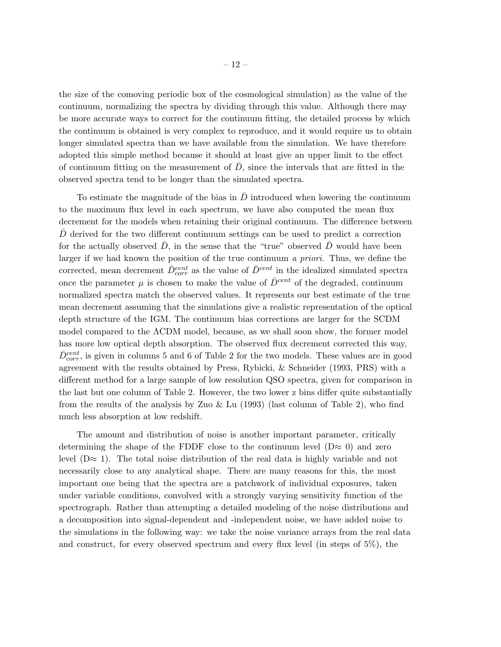the size of the comoving periodic box of the cosmological simulation) as the value of the continuum, normalizing the spectra by dividing through this value. Although there may be more accurate ways to correct for the continuum fitting, the detailed process by which the continuum is obtained is very complex to reproduce, and it would require us to obtain longer simulated spectra than we have available from the simulation. We have therefore adopted this simple method because it should at least give an upper limit to the effect of continuum fitting on the measurement of  $D$ , since the intervals that are fitted in the observed spectra tend to be longer than the simulated spectra.

To estimate the magnitude of the bias in  $\bar{D}$  introduced when lowering the continuum to the maximum flux level in each spectrum, we have also computed the mean flux decrement for the models when retaining their original continuum. The difference between  $D$  derived for the two different continuum settings can be used to predict a correction for the actually observed  $D$ , in the sense that the "true" observed  $D$  would have been larger if we had known the position of the true continuum a priori. Thus, we define the corrected, mean decrement  $\bar{D}_{corr}^{cent}$  as the value of  $\bar{D}^{cent}$  in the idealized simulated spectra once the parameter  $\mu$  is chosen to make the value of  $\bar{D}^{cent}$  of the degraded, continuum normalized spectra match the observed values. It represents our best estimate of the true mean decrement assuming that the simulations give a realistic representation of the optical depth structure of the IGM. The continuum bias corrections are larger for the SCDM model compared to the  $\Lambda$ CDM model, because, as we shall soon show, the former model has more low optical depth absorption. The observed flux decrement corrected this way,  $\bar{D}_{corr}^{cent}$ , is given in columns 5 and 6 of Table 2 for the two models. These values are in good agreement with the results obtained by Press, Rybicki, & Schneider (1993, PRS) with a different method for a large sample of low resolution QSO spectra, given for comparison in the last but one column of Table 2. However, the two lower z bins differ quite substantially from the results of the analysis by Zuo & Lu (1993) (last column of Table 2), who find much less absorption at low redshift.

The amount and distribution of noise is another important parameter, critically determining the shape of the FDDF close to the continuum level  $(D \approx 0)$  and zero level  $(D \approx 1)$ . The total noise distribution of the real data is highly variable and not necessarily close to any analytical shape. There are many reasons for this, the most important one being that the spectra are a patchwork of individual exposures, taken under variable conditions, convolved with a strongly varying sensitivity function of the spectrograph. Rather than attempting a detailed modeling of the noise distributions and a decomposition into signal-dependent and -independent noise, we have added noise to the simulations in the following way: we take the noise variance arrays from the real data and construct, for every observed spectrum and every flux level (in steps of 5%), the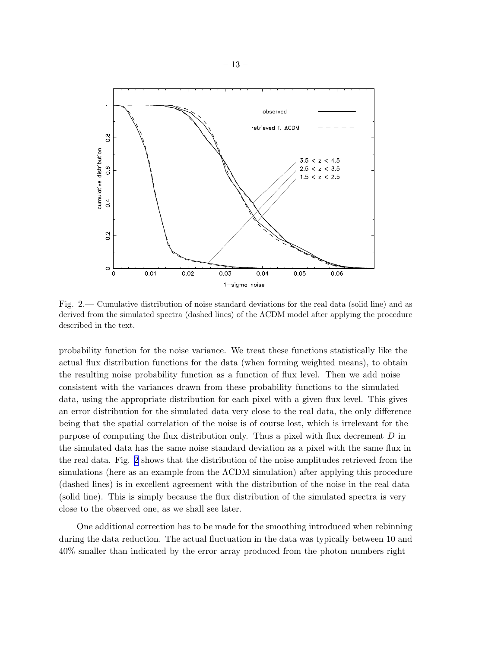

Fig. 2.— Cumulative distribution of noise standard deviations for the real data (solid line) and as derived from the simulated spectra (dashed lines) of the ΛCDM model after applying the procedure described in the text.

probability function for the noise variance. We treat these functions statistically like the actual flux distribution functions for the data (when forming weighted means), to obtain the resulting noise probability function as a function of flux level. Then we add noise consistent with the variances drawn from these probability functions to the simulated data, using the appropriate distribution for each pixel with a given flux level. This gives an error distribution for the simulated data very close to the real data, the only difference being that the spatial correlation of the noise is of course lost, which is irrelevant for the purpose of computing the flux distribution only. Thus a pixel with flux decrement D in the simulated data has the same noise standard deviation as a pixel with the same flux in the real data. Fig. 2 shows that the distribution of the noise amplitudes retrieved from the simulations (here as an example from the ΛCDM simulation) after applying this procedure (dashed lines) is in excellent agreement with the distribution of the noise in the real data (solid line). This is simply because the flux distribution of the simulated spectra is very close to the observed one, as we shall see later.

One additional correction has to be made for the smoothing introduced when rebinning during the data reduction. The actual fluctuation in the data was typically between 10 and 40% smaller than indicated by the error array produced from the photon numbers right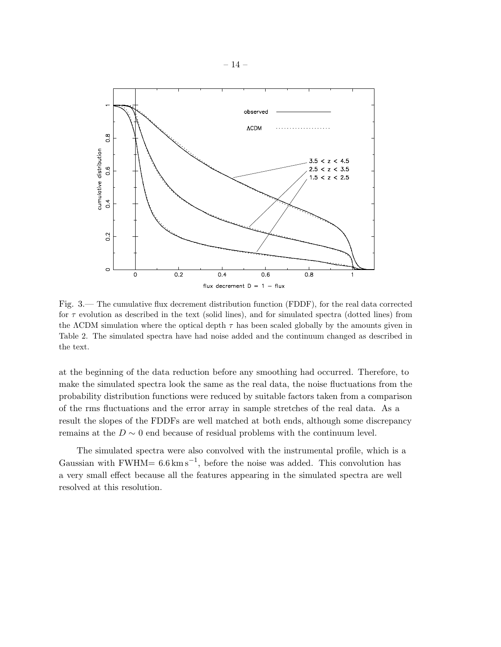<span id="page-15-0"></span>

Fig. 3.— The cumulative flux decrement distribution function (FDDF), for the real data corrected for  $\tau$  evolution as described in the text (solid lines), and for simulated spectra (dotted lines) from the  $\Lambda$ CDM simulation where the optical depth  $\tau$  has been scaled globally by the amounts given in Table 2. The simulated spectra have had noise added and the continuum changed as described in the text.

at the beginning of the data reduction before any smoothing had occurred. Therefore, to make the simulated spectra look the same as the real data, the noise fluctuations from the probability distribution functions were reduced by suitable factors taken from a comparison of the rms fluctuations and the error array in sample stretches of the real data. As a result the slopes of the FDDFs are well matched at both ends, although some discrepancy remains at the  $D \sim 0$  end because of residual problems with the continuum level.

The simulated spectra were also convolved with the instrumental profile, which is a Gaussian with FWHM=  $6.6 \text{ km s}^{-1}$ , before the noise was added. This convolution has a very small effect because all the features appearing in the simulated spectra are well resolved at this resolution.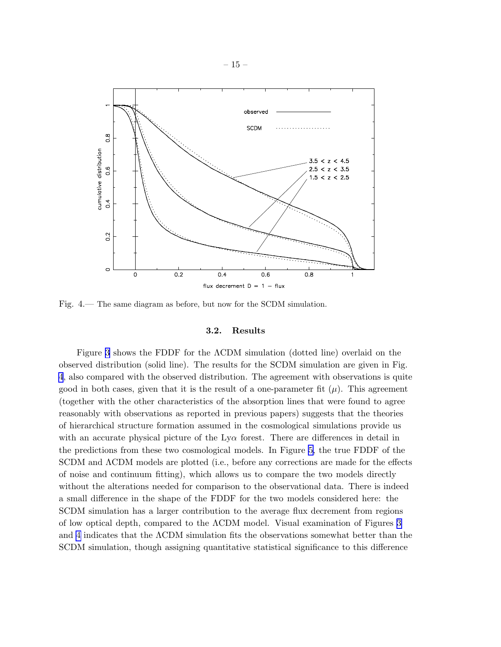

Fig. 4.— The same diagram as before, but now for the SCDM simulation.

#### 3.2. Results

Figure [3](#page-15-0) shows the FDDF for the ΛCDM simulation (dotted line) overlaid on the observed distribution (solid line). The results for the SCDM simulation are given in Fig. 4, also compared with the observed distribution. The agreement with observations is quite good in both cases, given that it is the result of a one-parameter fit  $(\mu)$ . This agreement (together with the other characteristics of the absorption lines that were found to agree reasonably with observations as reported in previous papers) suggests that the theories of hierarchical structure formation assumed in the cosmological simulations provide us with an accurate physical picture of the  $Ly\alpha$  forest. There are differences in detail in the predictions from these two cosmological models. In Figure [5,](#page-17-0) the true FDDF of the SCDM and ΛCDM models are plotted (i.e., before any corrections are made for the effects of noise and continuum fitting), which allows us to compare the two models directly without the alterations needed for comparison to the observational data. There is indeed a small difference in the shape of the FDDF for the two models considered here: the SCDM simulation has a larger contribution to the average flux decrement from regions of low optical depth, compared to the ΛCDM model. Visual examination of Figures [3](#page-15-0) and 4 indicates that the ΛCDM simulation fits the observations somewhat better than the SCDM simulation, though assigning quantitative statistical significance to this difference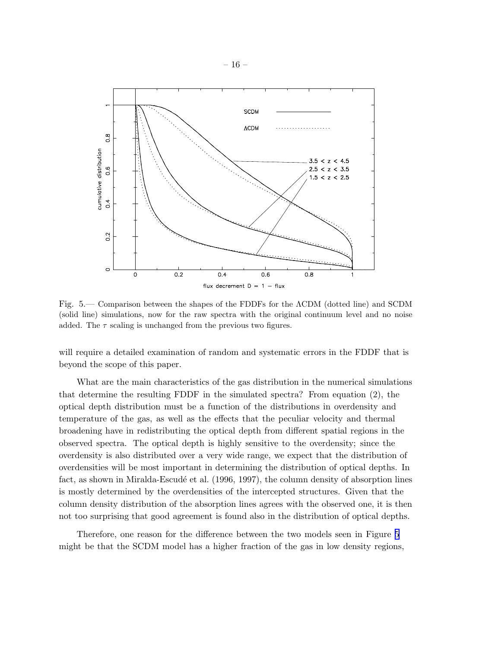<span id="page-17-0"></span>

Fig. 5.— Comparison between the shapes of the FDDFs for the ΛCDM (dotted line) and SCDM (solid line) simulations, now for the raw spectra with the original continuum level and no noise added. The  $\tau$  scaling is unchanged from the previous two figures.

will require a detailed examination of random and systematic errors in the FDDF that is beyond the scope of this paper.

What are the main characteristics of the gas distribution in the numerical simulations that determine the resulting FDDF in the simulated spectra? From equation (2), the optical depth distribution must be a function of the distributions in overdensity and temperature of the gas, as well as the effects that the peculiar velocity and thermal broadening have in redistributing the optical depth from different spatial regions in the observed spectra. The optical depth is highly sensitive to the overdensity; since the overdensity is also distributed over a very wide range, we expect that the distribution of overdensities will be most important in determining the distribution of optical depths. In fact, as shown in Miralda-Escudé et al. (1996, 1997), the column density of absorption lines is mostly determined by the overdensities of the intercepted structures. Given that the column density distribution of the absorption lines agrees with the observed one, it is then not too surprising that good agreement is found also in the distribution of optical depths.

Therefore, one reason for the difference between the two models seen in Figure 5 might be that the SCDM model has a higher fraction of the gas in low density regions,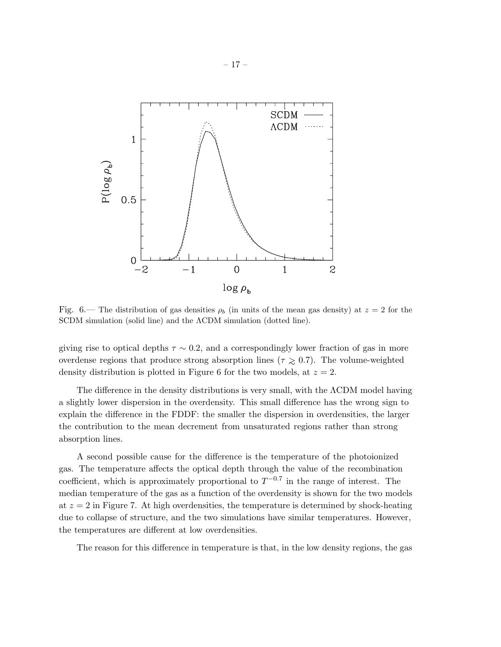

Fig. 6.— The distribution of gas densities  $\rho_b$  (in units of the mean gas density) at  $z = 2$  for the SCDM simulation (solid line) and the ΛCDM simulation (dotted line).

giving rise to optical depths  $\tau \sim 0.2$ , and a correspondingly lower fraction of gas in more overdense regions that produce strong absorption lines ( $\tau \geq 0.7$ ). The volume-weighted density distribution is plotted in Figure 6 for the two models, at  $z = 2$ .

The difference in the density distributions is very small, with the  $\Lambda$ CDM model having a slightly lower dispersion in the overdensity. This small difference has the wrong sign to explain the difference in the FDDF: the smaller the dispersion in overdensities, the larger the contribution to the mean decrement from unsaturated regions rather than strong absorption lines.

A second possible cause for the difference is the temperature of the photoionized gas. The temperature affects the optical depth through the value of the recombination coefficient, which is approximately proportional to  $T^{-0.7}$  in the range of interest. The median temperature of the gas as a function of the overdensity is shown for the two models at  $z = 2$  in Figure 7. At high overdensities, the temperature is determined by shock-heating due to collapse of structure, and the two simulations have similar temperatures. However, the temperatures are different at low overdensities.

The reason for this difference in temperature is that, in the low density regions, the gas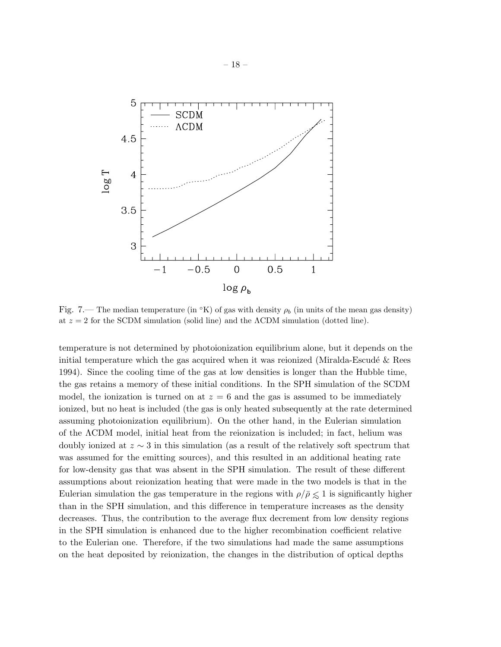

Fig. 7.— The median temperature (in  $\rm{°K}$ ) of gas with density  $\rho_b$  (in units of the mean gas density) at  $z = 2$  for the SCDM simulation (solid line) and the  $\Lambda$ CDM simulation (dotted line).

temperature is not determined by photoionization equilibrium alone, but it depends on the initial temperature which the gas acquired when it was reionized (Miralda-Escudé  $\&$  Rees 1994). Since the cooling time of the gas at low densities is longer than the Hubble time, the gas retains a memory of these initial conditions. In the SPH simulation of the SCDM model, the ionization is turned on at  $z = 6$  and the gas is assumed to be immediately ionized, but no heat is included (the gas is only heated subsequently at the rate determined assuming photoionization equilibrium). On the other hand, in the Eulerian simulation of the ΛCDM model, initial heat from the reionization is included; in fact, helium was doubly ionized at z ∼ 3 in this simulation (as a result of the relatively soft spectrum that was assumed for the emitting sources), and this resulted in an additional heating rate for low-density gas that was absent in the SPH simulation. The result of these different assumptions about reionization heating that were made in the two models is that in the Eulerian simulation the gas temperature in the regions with  $\rho/\bar{\rho} \leq 1$  is significantly higher than in the SPH simulation, and this difference in temperature increases as the density decreases. Thus, the contribution to the average flux decrement from low density regions in the SPH simulation is enhanced due to the higher recombination coefficient relative to the Eulerian one. Therefore, if the two simulations had made the same assumptions on the heat deposited by reionization, the changes in the distribution of optical depths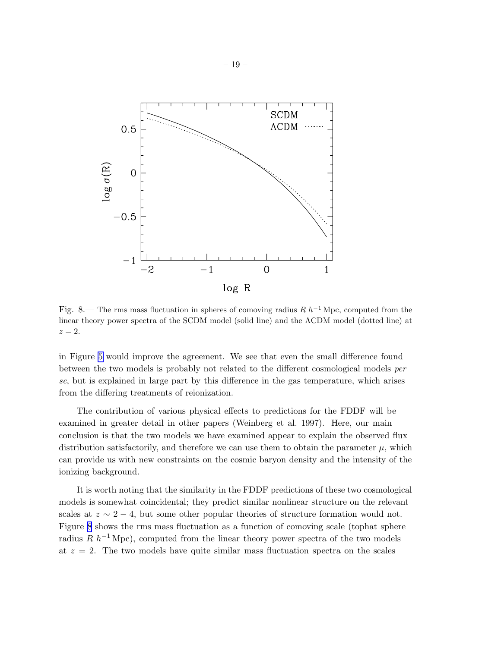

Fig. 8.— The rms mass fluctuation in spheres of comoving radius R  $h^{-1}$  Mpc, computed from the linear theory power spectra of the SCDM model (solid line) and the ΛCDM model (dotted line) at  $z=2.$ 

in Figure [5](#page-17-0) would improve the agreement. We see that even the small difference found between the two models is probably not related to the different cosmological models per se, but is explained in large part by this difference in the gas temperature, which arises from the differing treatments of reionization.

The contribution of various physical effects to predictions for the FDDF will be examined in greater detail in other papers (Weinberg et al. 1997). Here, our main conclusion is that the two models we have examined appear to explain the observed flux distribution satisfactorily, and therefore we can use them to obtain the parameter  $\mu$ , which can provide us with new constraints on the cosmic baryon density and the intensity of the ionizing background.

It is worth noting that the similarity in the FDDF predictions of these two cosmological models is somewhat coincidental; they predict similar nonlinear structure on the relevant scales at  $z \sim 2-4$ , but some other popular theories of structure formation would not. Figure 8 shows the rms mass fluctuation as a function of comoving scale (tophat sphere radius R  $h^{-1}$  Mpc), computed from the linear theory power spectra of the two models at  $z = 2$ . The two models have quite similar mass fluctuation spectra on the scales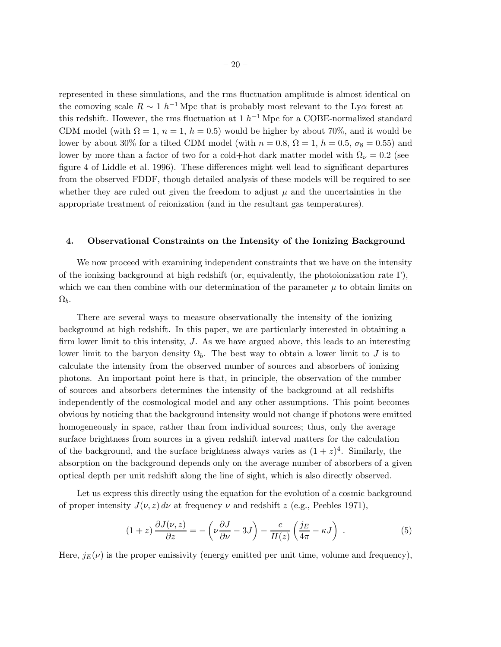<span id="page-21-0"></span>represented in these simulations, and the rms fluctuation amplitude is almost identical on the comoving scale  $R \sim 1 h^{-1}$  Mpc that is probably most relevant to the Ly $\alpha$  forest at this redshift. However, the rms fluctuation at  $1 h^{-1}$  Mpc for a COBE-normalized standard CDM model (with  $\Omega = 1$ ,  $n = 1$ ,  $h = 0.5$ ) would be higher by about 70%, and it would be lower by about 30% for a tilted CDM model (with  $n = 0.8$ ,  $\Omega = 1$ ,  $h = 0.5$ ,  $\sigma_8 = 0.55$ ) and lower by more than a factor of two for a cold+hot dark matter model with  $\Omega_{\nu} = 0.2$  (see figure 4 of Liddle et al. 1996). These differences might well lead to significant departures from the observed FDDF, though detailed analysis of these models will be required to see whether they are ruled out given the freedom to adjust  $\mu$  and the uncertainties in the appropriate treatment of reionization (and in the resultant gas temperatures).

#### 4. Observational Constraints on the Intensity of the Ionizing Background

We now proceed with examining independent constraints that we have on the intensity of the ionizing background at high redshift (or, equivalently, the photoionization rate  $\Gamma$ ), which we can then combine with our determination of the parameter  $\mu$  to obtain limits on  $\Omega_b$ .

There are several ways to measure observationally the intensity of the ionizing background at high redshift. In this paper, we are particularly interested in obtaining a firm lower limit to this intensity, J. As we have argued above, this leads to an interesting lower limit to the baryon density  $\Omega_b$ . The best way to obtain a lower limit to J is to calculate the intensity from the observed number of sources and absorbers of ionizing photons. An important point here is that, in principle, the observation of the number of sources and absorbers determines the intensity of the background at all redshifts independently of the cosmological model and any other assumptions. This point becomes obvious by noticing that the background intensity would not change if photons were emitted homogeneously in space, rather than from individual sources; thus, only the average surface brightness from sources in a given redshift interval matters for the calculation of the background, and the surface brightness always varies as  $(1 + z)^4$ . Similarly, the absorption on the background depends only on the average number of absorbers of a given optical depth per unit redshift along the line of sight, which is also directly observed.

Let us express this directly using the equation for the evolution of a cosmic background of proper intensity  $J(\nu, z) d\nu$  at frequency  $\nu$  and redshift z (e.g., Peebles 1971),

$$
(1+z)\frac{\partial J(\nu,z)}{\partial z} = -\left(\nu\frac{\partial J}{\partial \nu} - 3J\right) - \frac{c}{H(z)}\left(\frac{j_E}{4\pi} - \kappa J\right) . \tag{5}
$$

Here,  $j_E(\nu)$  is the proper emissivity (energy emitted per unit time, volume and frequency),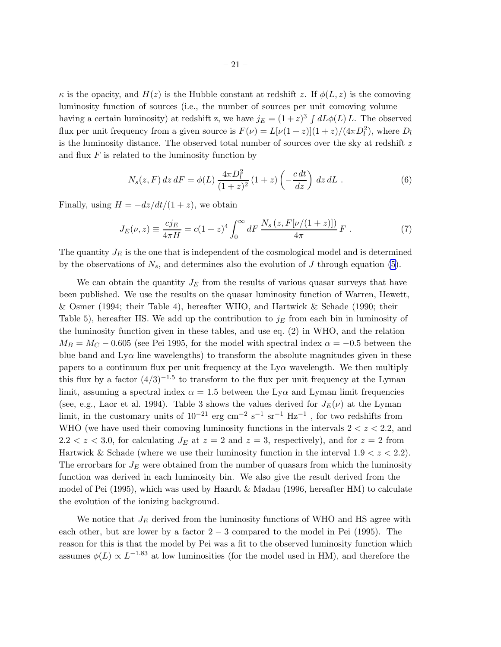$\kappa$  is the opacity, and  $H(z)$  is the Hubble constant at redshift z. If  $\phi(L, z)$  is the comoving luminosity function of sources (i.e., the number of sources per unit comoving volume having a certain luminosity) at redshift z, we have  $j_E = (1+z)^3 \int dL \phi(L) L$ . The observed flux per unit frequency from a given source is  $F(\nu) = L[\nu(1+z)](1+z)/(4\pi D_l^2)$ , where  $D_l$ is the luminosity distance. The observed total number of sources over the sky at redshift  $z$ and flux  $F$  is related to the luminosity function by

$$
N_s(z, F) dz dF = \phi(L) \frac{4\pi D_l^2}{(1+z)^2} (1+z) \left(-\frac{c dt}{dz}\right) dz dL .
$$
 (6)

Finally, using  $H = -dz/dt/(1 + z)$ , we obtain

$$
J_E(\nu, z) \equiv \frac{cj_E}{4\pi H} = c(1+z)^4 \int_0^\infty dF \, \frac{N_s(z, F[\nu/(1+z)])}{4\pi} F \; . \tag{7}
$$

The quantity  $J_E$  is the one that is independent of the cosmological model and is determined by the observations of  $N_s$ , and determines also the evolution of J through equation [\(5](#page-21-0)).

We can obtain the quantity  $J_E$  from the results of various quasar surveys that have been published. We use the results on the quasar luminosity function of Warren, Hewett, & Osmer (1994; their Table 4), hereafter WHO, and Hartwick & Schade (1990; their Table 5), hereafter HS. We add up the contribution to  $j_E$  from each bin in luminosity of the luminosity function given in these tables, and use eq. (2) in WHO, and the relation  $M_B = M_C - 0.605$  (see Pei 1995, for the model with spectral index  $\alpha = -0.5$  between the blue band and  $Ly\alpha$  line wavelengths) to transform the absolute magnitudes given in these papers to a continuum flux per unit frequency at the  $Ly\alpha$  wavelength. We then multiply this flux by a factor  $(4/3)^{-1.5}$  to transform to the flux per unit frequency at the Lyman limit, assuming a spectral index  $\alpha = 1.5$  between the Ly $\alpha$  and Lyman limit frequencies (see, e.g., Laor et al. 1994). Table 3 shows the values derived for  $J_E(\nu)$  at the Lyman limit, in the customary units of  $10^{-21}$  erg cm<sup>-2</sup> s<sup>-1</sup> sr<sup>-1</sup> Hz<sup>-1</sup>, for two redshifts from WHO (we have used their comoving luminosity functions in the intervals  $2 < z < 2.2$ , and  $2.2 < z < 3.0$ , for calculating  $J_E$  at  $z = 2$  and  $z = 3$ , respectively), and for  $z = 2$  from Hartwick & Schade (where we use their luminosity function in the interval  $1.9 < z < 2.2$ ). The errorbars for  $J_E$  were obtained from the number of quasars from which the luminosity function was derived in each luminosity bin. We also give the result derived from the model of Pei (1995), which was used by Haardt & Madau (1996, hereafter HM) to calculate the evolution of the ionizing background.

We notice that  $J_E$  derived from the luminosity functions of WHO and HS agree with each other, but are lower by a factor  $2-3$  compared to the model in Pei (1995). The reason for this is that the model by Pei was a fit to the observed luminosity function which assumes  $\phi(L) \propto L^{-1.83}$  at low luminosities (for the model used in HM), and therefore the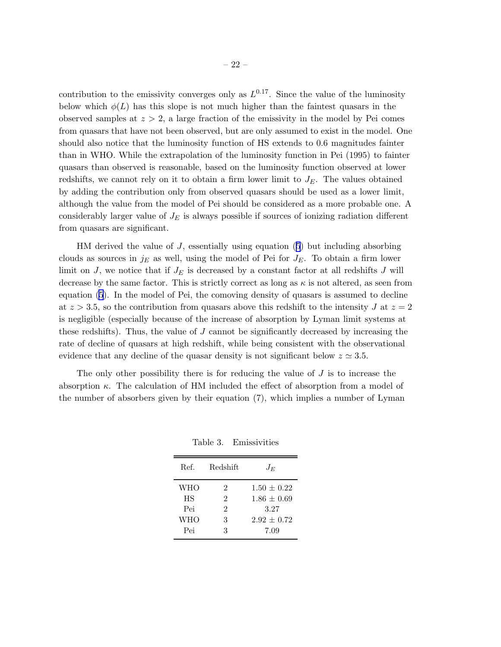contribution to the emissivity converges only as  $L^{0.17}$ . Since the value of the luminosity below which  $\phi(L)$  has this slope is not much higher than the faintest quasars in the observed samples at  $z > 2$ , a large fraction of the emissivity in the model by Pei comes from quasars that have not been observed, but are only assumed to exist in the model. One should also notice that the luminosity function of HS extends to 0.6 magnitudes fainter than in WHO. While the extrapolation of the luminosity function in Pei (1995) to fainter quasars than observed is reasonable, based on the luminosity function observed at lower redshifts, we cannot rely on it to obtain a firm lower limit to  $J<sub>E</sub>$ . The values obtained by adding the contribution only from observed quasars should be used as a lower limit, although the value from the model of Pei should be considered as a more probable one. A considerably larger value of  $J<sub>E</sub>$  is always possible if sources of ionizing radiation different from quasars are significant.

HMderived the value of  $J$ , essentially using equation ([5](#page-21-0)) but including absorbing clouds as sources in  $j_E$  as well, using the model of Pei for  $J_E$ . To obtain a firm lower limit on J, we notice that if  $J<sub>E</sub>$  is decreased by a constant factor at all redshifts J will decrease by the same factor. This is strictly correct as long as  $\kappa$  is not altered, as seen from equation [\(5](#page-21-0)). In the model of Pei, the comoving density of quasars is assumed to decline at  $z > 3.5$ , so the contribution from quasars above this redshift to the intensity J at  $z = 2$ is negligible (especially because of the increase of absorption by Lyman limit systems at these redshifts). Thus, the value of  $J$  cannot be significantly decreased by increasing the rate of decline of quasars at high redshift, while being consistent with the observational evidence that any decline of the quasar density is not significant below  $z \approx 3.5$ .

The only other possibility there is for reducing the value of  $J$  is to increase the absorption  $\kappa$ . The calculation of HM included the effect of absorption from a model of the number of absorbers given by their equation (7), which implies a number of Lyman

| Ref.       | Redshift       | $J_E$           |
|------------|----------------|-----------------|
| <b>WHO</b> | 2              | $1.50 \pm 0.22$ |
| <b>HS</b>  | 2              | $1.86 \pm 0.69$ |
| Pei        | $\overline{2}$ | 3.27            |
| <b>WHO</b> | 3              | $2.92 \pm 0.72$ |
| Pei        | 3              | 7.09            |

Table 3. Emissivities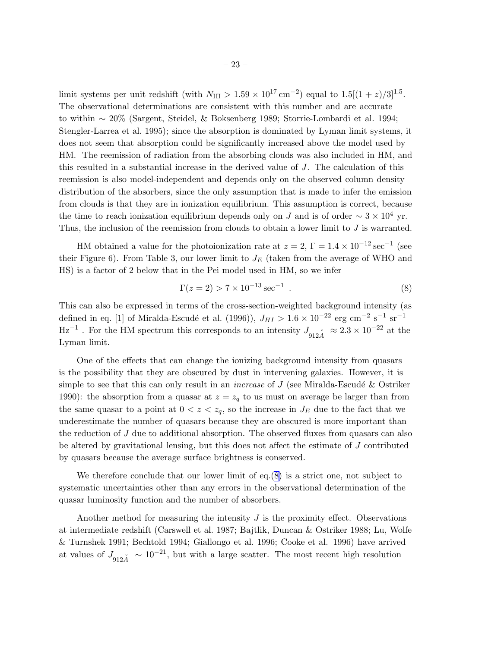limit systems per unit redshift (with  $N_{\text{HI}} > 1.59 \times 10^{17} \text{ cm}^{-2}$ ) equal to  $1.5[(1+z)/3]^{1.5}$ . The observational determinations are consistent with this number and are accurate to within ∼ 20% (Sargent, Steidel, & Boksenberg 1989; Storrie-Lombardi et al. 1994; Stengler-Larrea et al. 1995); since the absorption is dominated by Lyman limit systems, it does not seem that absorption could be significantly increased above the model used by HM. The reemission of radiation from the absorbing clouds was also included in HM, and this resulted in a substantial increase in the derived value of J. The calculation of this reemission is also model-independent and depends only on the observed column density distribution of the absorbers, since the only assumption that is made to infer the emission from clouds is that they are in ionization equilibrium. This assumption is correct, because the time to reach ionization equilibrium depends only on J and is of order  $\sim 3 \times 10^4$  yr. Thus, the inclusion of the reemission from clouds to obtain a lower limit to  $J$  is warranted.

HM obtained a value for the photoionization rate at  $z = 2$ ,  $\Gamma = 1.4 \times 10^{-12}$  sec<sup>-1</sup> (see their Figure 6). From Table 3, our lower limit to  $J_E$  (taken from the average of WHO and HS) is a factor of 2 below that in the Pei model used in HM, so we infer

$$
\Gamma(z=2) > 7 \times 10^{-13} \,\text{sec}^{-1} \tag{8}
$$

This can also be expressed in terms of the cross-section-weighted background intensity (as defined in eq. [1] of Miralda-Escudé et al. (1996)),  $J_{HI} > 1.6 \times 10^{-22}$  erg cm<sup>-2</sup> s<sup>-1</sup> sr<sup>-1</sup>  $\text{Hz}^{-1}$ . For the HM spectrum this corresponds to an intensity  $J_{912\text{\AA}} \approx 2.3 \times 10^{-22}$  at the Lyman limit.

One of the effects that can change the ionizing background intensity from quasars is the possibility that they are obscured by dust in intervening galaxies. However, it is simple to see that this can only result in an *increase* of  $J$  (see Miralda-Escudé & Ostriker 1990): the absorption from a quasar at  $z = z_q$  to us must on average be larger than from the same quasar to a point at  $0 < z < z_q$ , so the increase in  $J_E$  due to the fact that we underestimate the number of quasars because they are obscured is more important than the reduction of J due to additional absorption. The observed fluxes from quasars can also be altered by gravitational lensing, but this does not affect the estimate of J contributed by quasars because the average surface brightness is conserved.

We therefore conclude that our lower limit of eq.(8) is a strict one, not subject to systematic uncertainties other than any errors in the observational determination of the quasar luminosity function and the number of absorbers.

Another method for measuring the intensity  $J$  is the proximity effect. Observations at intermediate redshift (Carswell et al. 1987; Bajtlik, Duncan & Ostriker 1988; Lu, Wolfe & Turnshek 1991; Bechtold 1994; Giallongo et al. 1996; Cooke et al. 1996) have arrived at values of  $J_{912\AA} \sim 10^{-21}$ , but with a large scatter. The most recent high resolution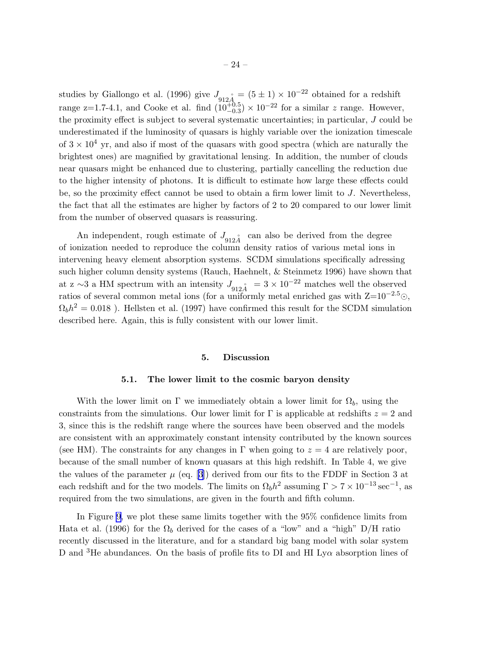studies by Giallongo et al. (1996) give  $J_{912A}$  =  $(5 \pm 1) \times 10^{-22}$  obtained for a redshift range z=1.7-4.1, and Cooke et al. find  $(10^{+0.5}_{-0.3}) \times 10^{-22}$  for a similar z range. However, the proximity effect is subject to several systematic uncertainties; in particular, J could be underestimated if the luminosity of quasars is highly variable over the ionization timescale of  $3 \times 10^4$  yr, and also if most of the quasars with good spectra (which are naturally the brightest ones) are magnified by gravitational lensing. In addition, the number of clouds near quasars might be enhanced due to clustering, partially cancelling the reduction due to the higher intensity of photons. It is difficult to estimate how large these effects could be, so the proximity effect cannot be used to obtain a firm lower limit to J. Nevertheless, the fact that all the estimates are higher by factors of 2 to 20 compared to our lower limit from the number of observed quasars is reassuring.

An independent, rough estimate of  $J_{912\AA}$  can also be derived from the degree of ionization needed to reproduce the column density ratios of various metal ions in intervening heavy element absorption systems. SCDM simulations specifically adressing such higher column density systems (Rauch, Haehnelt, & Steinmetz 1996) have shown that at z ~3 a HM spectrum with an intensity  $J_{912\AA} = 3 \times 10^{-22}$  matches well the observed ratios of several common metal ions (for a uniformly metal enriched gas with  $Z=10^{-2.5}$ ).  $\Omega_b h^2 = 0.018$ ). Hellsten et al. (1997) have confirmed this result for the SCDM simulation described here. Again, this is fully consistent with our lower limit.

#### 5. Discussion

#### 5.1. The lower limit to the cosmic baryon density

With the lower limit on Γ we immediately obtain a lower limit for  $\Omega_b$ , using the constraints from the simulations. Our lower limit for  $\Gamma$  is applicable at redshifts  $z = 2$  and 3, since this is the redshift range where the sources have been observed and the models are consistent with an approximately constant intensity contributed by the known sources (see HM). The constraints for any changes in  $\Gamma$  when going to  $z = 4$  are relatively poor, because of the small number of known quasars at this high redshift. In Table 4, we give thevalues of the parameter  $\mu$  (eq. [[3](#page-6-0)]) derived from our fits to the FDDF in Section 3 at each redshift and for the two models. The limits on  $\Omega_b h^2$  assuming  $\Gamma > 7 \times 10^{-13} \text{ sec}^{-1}$ , as required from the two simulations, are given in the fourth and fifth column.

In Figure [9,](#page-26-0) we plot these same limits together with the 95% confidence limits from Hata et al. (1996) for the  $\Omega_b$  derived for the cases of a "low" and a "high" D/H ratio recently discussed in the literature, and for a standard big bang model with solar system D and <sup>3</sup>He abundances. On the basis of profile fits to DI and HI Ly $\alpha$  absorption lines of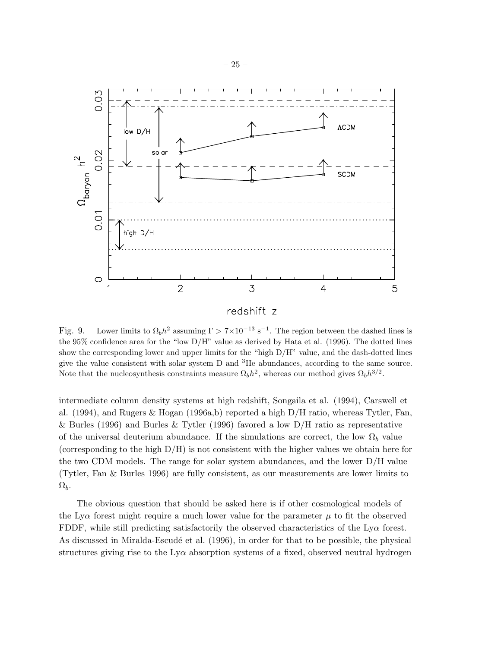<span id="page-26-0"></span>

Fig. 9.— Lower limits to  $\Omega_b h^2$  assuming  $\Gamma > 7 \times 10^{-13}$  s<sup>-1</sup>. The region between the dashed lines is the 95% confidence area for the "low D/H" value as derived by Hata et al. (1996). The dotted lines show the corresponding lower and upper limits for the "high D/H" value, and the dash-dotted lines give the value consistent with solar system D and <sup>3</sup>He abundances, according to the same source. Note that the nucleosynthesis constraints measure  $\Omega_b h^2$ , whereas our method gives  $\Omega_b h^{3/2}$ .

intermediate column density systems at high redshift, Songaila et al. (1994), Carswell et al. (1994), and Rugers & Hogan (1996a,b) reported a high D/H ratio, whereas Tytler, Fan, & Burles (1996) and Burles & Tytler (1996) favored a low  $D/H$  ratio as representative of the universal deuterium abundance. If the simulations are correct, the low  $\Omega_b$  value (corresponding to the high D/H) is not consistent with the higher values we obtain here for the two CDM models. The range for solar system abundances, and the lower D/H value (Tytler, Fan & Burles 1996) are fully consistent, as our measurements are lower limits to  $\Omega_b$ .

The obvious question that should be asked here is if other cosmological models of the Ly $\alpha$  forest might require a much lower value for the parameter  $\mu$  to fit the observed FDDF, while still predicting satisfactorily the observed characteristics of the  $Ly\alpha$  forest. As discussed in Miralda-Escudé et al. (1996), in order for that to be possible, the physical structures giving rise to the  $Ly\alpha$  absorption systems of a fixed, observed neutral hydrogen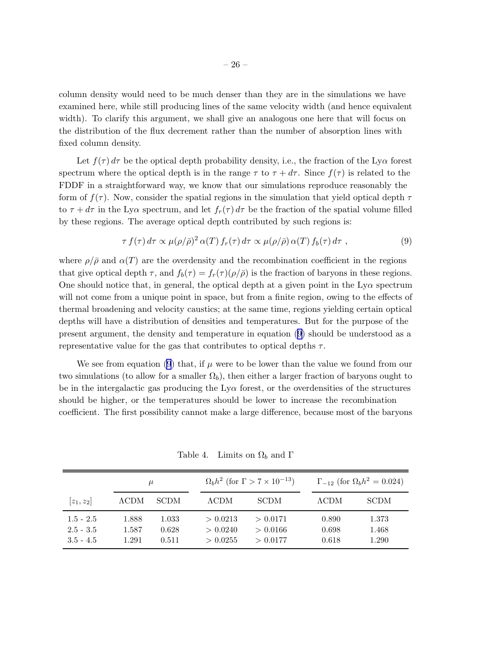<span id="page-27-0"></span>column density would need to be much denser than they are in the simulations we have examined here, while still producing lines of the same velocity width (and hence equivalent width). To clarify this argument, we shall give an analogous one here that will focus on the distribution of the flux decrement rather than the number of absorption lines with fixed column density.

Let  $f(\tau) d\tau$  be the optical depth probability density, i.e., the fraction of the Ly $\alpha$  forest spectrum where the optical depth is in the range  $\tau$  to  $\tau + d\tau$ . Since  $f(\tau)$  is related to the FDDF in a straightforward way, we know that our simulations reproduce reasonably the form of  $f(\tau)$ . Now, consider the spatial regions in the simulation that yield optical depth  $\tau$ to  $\tau + d\tau$  in the Ly $\alpha$  spectrum, and let  $f_r(\tau) d\tau$  be the fraction of the spatial volume filled by these regions. The average optical depth contributed by such regions is:

$$
\tau f(\tau) d\tau \propto \mu(\rho/\bar{\rho})^2 \alpha(T) f_r(\tau) d\tau \propto \mu(\rho/\bar{\rho}) \alpha(T) f_b(\tau) d\tau , \qquad (9)
$$

where  $\rho/\bar{\rho}$  and  $\alpha(T)$  are the overdensity and the recombination coefficient in the regions that give optical depth  $\tau$ , and  $f_b(\tau) = f_r(\tau)(\rho/\bar{\rho})$  is the fraction of baryons in these regions. One should notice that, in general, the optical depth at a given point in the  $Ly\alpha$  spectrum will not come from a unique point in space, but from a finite region, owing to the effects of thermal broadening and velocity caustics; at the same time, regions yielding certain optical depths will have a distribution of densities and temperatures. But for the purpose of the present argument, the density and temperature in equation (9) should be understood as a representative value for the gas that contributes to optical depths  $\tau$ .

We see from equation (9) that, if  $\mu$  were to be lower than the value we found from our two simulations (to allow for a smaller  $\Omega_b$ ), then either a larger fraction of baryons ought to be in the intergalactic gas producing the  $Ly\alpha$  forest, or the overdensities of the structures should be higher, or the temperatures should be lower to increase the recombination coefficient. The first possibility cannot make a large difference, because most of the baryons

|                                           | $\mu$                   |                         | $\Omega_b h^2$ (for $\Gamma > 7 \times 10^{-13}$ ) |                                  |                         | $\Gamma_{-12}$ (for $\Omega_b h^2 = 0.024$ ) |  |
|-------------------------------------------|-------------------------|-------------------------|----------------------------------------------------|----------------------------------|-------------------------|----------------------------------------------|--|
| $ z_1, z_2 $                              | ACDM                    | <b>SCDM</b>             | $\Lambda \text{CDM}{}$                             | <b>SCDM</b>                      | $\Lambda$ CDM           | <b>SCDM</b>                                  |  |
| $1.5 - 2.5$<br>$2.5 - 3.5$<br>$3.5 - 4.5$ | 1.888<br>1.587<br>1.291 | 1.033<br>0.628<br>0.511 | > 0.0213<br>> 0.0240<br>> 0.0255                   | > 0.0171<br>> 0.0166<br>> 0.0177 | 0.890<br>0.698<br>0.618 | 1.373<br>1.468<br>1.290                      |  |

Table 4. Limits on  $\Omega_b$  and  $\Gamma$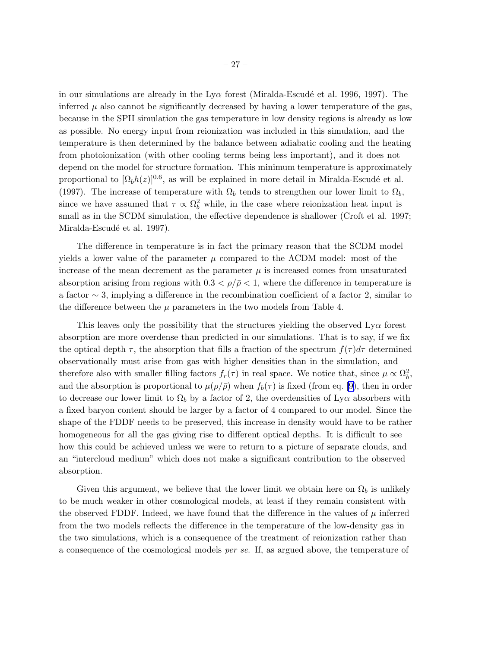in our simulations are already in the  $Ly\alpha$  forest (Miralda-Escudé et al. 1996, 1997). The inferred  $\mu$  also cannot be significantly decreased by having a lower temperature of the gas, because in the SPH simulation the gas temperature in low density regions is already as low as possible. No energy input from reionization was included in this simulation, and the temperature is then determined by the balance between adiabatic cooling and the heating from photoionization (with other cooling terms being less important), and it does not depend on the model for structure formation. This minimum temperature is approximately proportional to  $[\Omega_b h(z)]^{0.6}$ , as will be explained in more detail in Miralda-Escudé et al. (1997). The increase of temperature with  $\Omega_b$  tends to strengthen our lower limit to  $\Omega_b$ , since we have assumed that  $\tau \propto \Omega_b^2$  while, in the case where reionization heat input is small as in the SCDM simulation, the effective dependence is shallower (Croft et al. 1997; Miralda-Escudé et al. 1997).

The difference in temperature is in fact the primary reason that the SCDM model yields a lower value of the parameter  $\mu$  compared to the  $\Lambda$ CDM model: most of the increase of the mean decrement as the parameter  $\mu$  is increased comes from unsaturated absorption arising from regions with  $0.3 < \rho/\bar{\rho} < 1$ , where the difference in temperature is a factor ∼ 3, implying a difference in the recombination coefficient of a factor 2, similar to the difference between the  $\mu$  parameters in the two models from Table 4.

This leaves only the possibility that the structures yielding the observed  $Ly\alpha$  forest absorption are more overdense than predicted in our simulations. That is to say, if we fix the optical depth  $\tau$ , the absorption that fills a fraction of the spectrum  $f(\tau)d\tau$  determined observationally must arise from gas with higher densities than in the simulation, and therefore also with smaller filling factors  $f_r(\tau)$  in real space. We notice that, since  $\mu \propto \Omega_b^2$  $\frac{2}{b}$ , and the absorption is proportional to  $\mu(\rho/\bar{\rho})$  when  $f_b(\tau)$  is fixed (from eq. [9], then in order to decrease our lower limit to  $\Omega_b$  by a factor of 2, the overdensities of Ly $\alpha$  absorbers with a fixed baryon content should be larger by a factor of 4 compared to our model. Since the shape of the FDDF needs to be preserved, this increase in density would have to be rather homogeneous for all the gas giving rise to different optical depths. It is difficult to see how this could be achieved unless we were to return to a picture of separate clouds, and an "intercloud medium" which does not make a significant contribution to the observed absorption.

Given this argument, we believe that the lower limit we obtain here on  $\Omega_b$  is unlikely to be much weaker in other cosmological models, at least if they remain consistent with the observed FDDF. Indeed, we have found that the difference in the values of  $\mu$  inferred from the two models reflects the difference in the temperature of the low-density gas in the two simulations, which is a consequence of the treatment of reionization rather than a consequence of the cosmological models per se. If, as argued above, the temperature of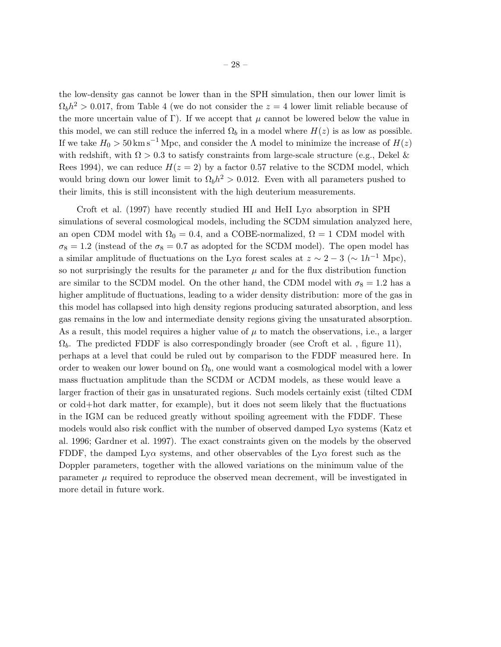the low-density gas cannot be lower than in the SPH simulation, then our lower limit is  $\Omega_b h^2 > 0.017$ , from Table 4 (we do not consider the  $z = 4$  lower limit reliable because of the more uncertain value of Γ). If we accept that  $\mu$  cannot be lowered below the value in this model, we can still reduce the inferred  $\Omega_b$  in a model where  $H(z)$  is as low as possible. If we take  $H_0 > 50 \text{ km s}^{-1} \text{ Mpc}$ , and consider the  $\Lambda$  model to minimize the increase of  $H(z)$ with redshift, with  $\Omega > 0.3$  to satisfy constraints from large-scale structure (e.g., Dekel & Rees 1994), we can reduce  $H(z = 2)$  by a factor 0.57 relative to the SCDM model, which would bring down our lower limit to  $\Omega_b h^2 > 0.012$ . Even with all parameters pushed to their limits, this is still inconsistent with the high deuterium measurements.

Croft et al. (1997) have recently studied HI and HeII Ly $\alpha$  absorption in SPH simulations of several cosmological models, including the SCDM simulation analyzed here, an open CDM model with  $\Omega_0 = 0.4$ , and a COBE-normalized,  $\Omega = 1$  CDM model with  $\sigma_8 = 1.2$  (instead of the  $\sigma_8 = 0.7$  as adopted for the SCDM model). The open model has a similar amplitude of fluctuations on the Ly $\alpha$  forest scales at  $z \sim 2-3$  ( $\sim 1 h^{-1}$  Mpc), so not surprisingly the results for the parameter  $\mu$  and for the flux distribution function are similar to the SCDM model. On the other hand, the CDM model with  $\sigma_8 = 1.2$  has a higher amplitude of fluctuations, leading to a wider density distribution: more of the gas in this model has collapsed into high density regions producing saturated absorption, and less gas remains in the low and intermediate density regions giving the unsaturated absorption. As a result, this model requires a higher value of  $\mu$  to match the observations, i.e., a larger  $\Omega_b$ . The predicted FDDF is also correspondingly broader (see Croft et al., figure 11), perhaps at a level that could be ruled out by comparison to the FDDF measured here. In order to weaken our lower bound on  $\Omega_b$ , one would want a cosmological model with a lower mass fluctuation amplitude than the SCDM or ΛCDM models, as these would leave a larger fraction of their gas in unsaturated regions. Such models certainly exist (tilted CDM or cold+hot dark matter, for example), but it does not seem likely that the fluctuations in the IGM can be reduced greatly without spoiling agreement with the FDDF. These models would also risk conflict with the number of observed damped  $Ly\alpha$  systems (Katz et al. 1996; Gardner et al. 1997). The exact constraints given on the models by the observed FDDF, the damped Ly $\alpha$  systems, and other observables of the Ly $\alpha$  forest such as the Doppler parameters, together with the allowed variations on the minimum value of the parameter  $\mu$  required to reproduce the observed mean decrement, will be investigated in more detail in future work.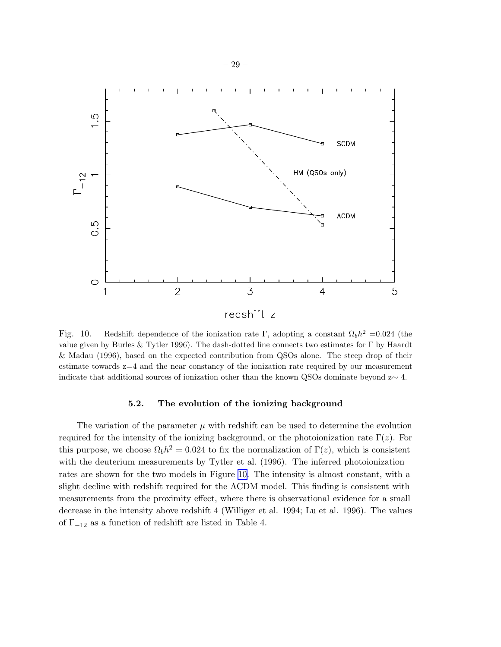

Fig. 10.— Redshift dependence of the ionization rate Γ, adopting a constant  $\Omega_b h^2 = 0.024$  (the value given by Burles & Tytler 1996). The dash-dotted line connects two estimates for Γ by Haardt & Madau (1996), based on the expected contribution from QSOs alone. The steep drop of their estimate towards z=4 and the near constancy of the ionization rate required by our measurement indicate that additional sources of ionization other than the known QSOs dominate beyond z∼ 4.

# 5.2. The evolution of the ionizing background

The variation of the parameter  $\mu$  with redshift can be used to determine the evolution required for the intensity of the ionizing background, or the photoionization rate  $\Gamma(z)$ . For this purpose, we choose  $\Omega_b h^2 = 0.024$  to fix the normalization of  $\Gamma(z)$ , which is consistent with the deuterium measurements by Tytler et al. (1996). The inferred photoionization rates are shown for the two models in Figure 10. The intensity is almost constant, with a slight decline with redshift required for the ΛCDM model. This finding is consistent with measurements from the proximity effect, where there is observational evidence for a small decrease in the intensity above redshift 4 (Williger et al. 1994; Lu et al. 1996). The values of  $\Gamma_{-12}$  as a function of redshift are listed in Table 4.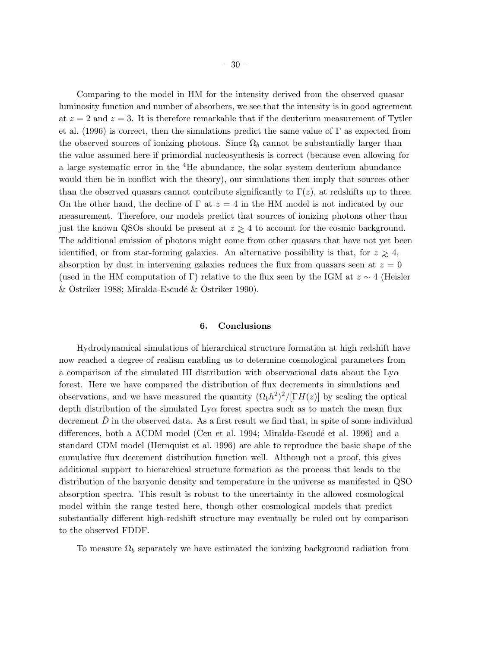Comparing to the model in HM for the intensity derived from the observed quasar luminosity function and number of absorbers, we see that the intensity is in good agreement at  $z = 2$  and  $z = 3$ . It is therefore remarkable that if the deuterium measurement of Tytler et al. (1996) is correct, then the simulations predict the same value of  $\Gamma$  as expected from the observed sources of ionizing photons. Since  $\Omega_b$  cannot be substantially larger than the value assumed here if primordial nucleosynthesis is correct (because even allowing for a large systematic error in the <sup>4</sup>He abundance, the solar system deuterium abundance would then be in conflict with the theory), our simulations then imply that sources other than the observed quasars cannot contribute significantly to  $\Gamma(z)$ , at redshifts up to three. On the other hand, the decline of  $\Gamma$  at  $z = 4$  in the HM model is not indicated by our measurement. Therefore, our models predict that sources of ionizing photons other than just the known QSOs should be present at  $z \geq 4$  to account for the cosmic background. The additional emission of photons might come from other quasars that have not yet been identified, or from star-forming galaxies. An alternative possibility is that, for  $z \ge 4$ , absorption by dust in intervening galaxies reduces the flux from quasars seen at  $z = 0$ (used in the HM computation of Γ) relative to the flux seen by the IGM at  $z \sim 4$  (Heisler  $\&$  Ostriker 1988; Miralda-Escudé  $\&$  Ostriker 1990).

### 6. Conclusions

Hydrodynamical simulations of hierarchical structure formation at high redshift have now reached a degree of realism enabling us to determine cosmological parameters from a comparison of the simulated HI distribution with observational data about the  $Ly\alpha$ forest. Here we have compared the distribution of flux decrements in simulations and observations, and we have measured the quantity  $(\Omega_b h^2)^2/[\Gamma H(z)]$  by scaling the optical depth distribution of the simulated  $Ly\alpha$  forest spectra such as to match the mean flux decrement  $D$  in the observed data. As a first result we find that, in spite of some individual differences, both a  $\Lambda$ CDM model (Cen et al. 1994; Miralda-Escudé et al. 1996) and a standard CDM model (Hernquist et al. 1996) are able to reproduce the basic shape of the cumulative flux decrement distribution function well. Although not a proof, this gives additional support to hierarchical structure formation as the process that leads to the distribution of the baryonic density and temperature in the universe as manifested in QSO absorption spectra. This result is robust to the uncertainty in the allowed cosmological model within the range tested here, though other cosmological models that predict substantially different high-redshift structure may eventually be ruled out by comparison to the observed FDDF.

To measure  $\Omega_b$  separately we have estimated the ionizing background radiation from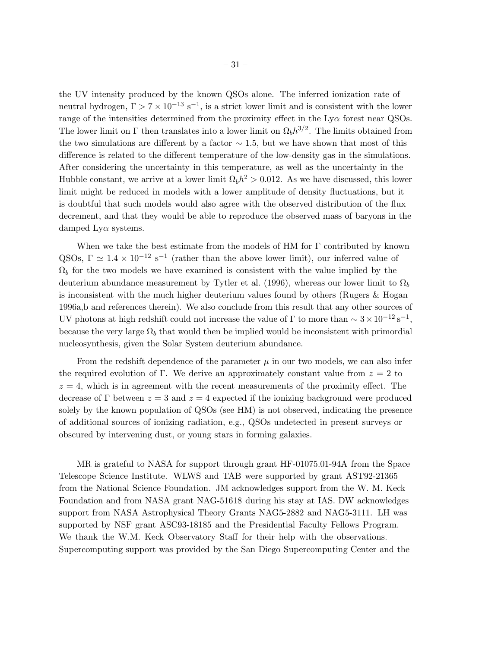the UV intensity produced by the known QSOs alone. The inferred ionization rate of neutral hydrogen,  $\Gamma > 7 \times 10^{-13}$  s<sup>-1</sup>, is a strict lower limit and is consistent with the lower range of the intensities determined from the proximity effect in the  $Ly\alpha$  forest near QSOs. The lower limit on  $\Gamma$  then translates into a lower limit on  $\Omega_b h^{3/2}$ . The limits obtained from the two simulations are different by a factor  $\sim$  1.5, but we have shown that most of this difference is related to the different temperature of the low-density gas in the simulations. After considering the uncertainty in this temperature, as well as the uncertainty in the Hubble constant, we arrive at a lower limit  $\Omega_b h^2 > 0.012$ . As we have discussed, this lower limit might be reduced in models with a lower amplitude of density fluctuations, but it is doubtful that such models would also agree with the observed distribution of the flux decrement, and that they would be able to reproduce the observed mass of baryons in the damped  $Ly\alpha$  systems.

When we take the best estimate from the models of HM for  $\Gamma$  contributed by known QSOs,  $\Gamma \simeq 1.4 \times 10^{-12} \text{ s}^{-1}$  (rather than the above lower limit), our inferred value of  $\Omega_b$  for the two models we have examined is consistent with the value implied by the deuterium abundance measurement by Tytler et al. (1996), whereas our lower limit to  $\Omega_b$ is inconsistent with the much higher deuterium values found by others (Rugers & Hogan 1996a,b and references therein). We also conclude from this result that any other sources of UV photons at high redshift could not increase the value of  $\Gamma$  to more than  $\sim 3 \times 10^{-12} \text{ s}^{-1}$ , because the very large  $\Omega_b$  that would then be implied would be inconsistent with primordial nucleosynthesis, given the Solar System deuterium abundance.

From the redshift dependence of the parameter  $\mu$  in our two models, we can also infer the required evolution of Γ. We derive an approximately constant value from  $z = 2$  to  $z = 4$ , which is in agreement with the recent measurements of the proximity effect. The decrease of Γ between  $z = 3$  and  $z = 4$  expected if the ionizing background were produced solely by the known population of QSOs (see HM) is not observed, indicating the presence of additional sources of ionizing radiation, e.g., QSOs undetected in present surveys or obscured by intervening dust, or young stars in forming galaxies.

MR is grateful to NASA for support through grant HF-01075.01-94A from the Space Telescope Science Institute. WLWS and TAB were supported by grant AST92-21365 from the National Science Foundation. JM acknowledges support from the W. M. Keck Foundation and from NASA grant NAG-51618 during his stay at IAS. DW acknowledges support from NASA Astrophysical Theory Grants NAG5-2882 and NAG5-3111. LH was supported by NSF grant ASC93-18185 and the Presidential Faculty Fellows Program. We thank the W.M. Keck Observatory Staff for their help with the observations. Supercomputing support was provided by the San Diego Supercomputing Center and the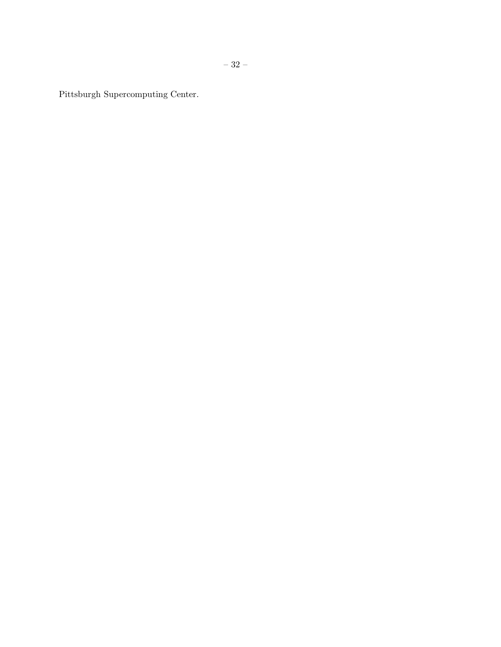Pittsburgh Supercomputing Center.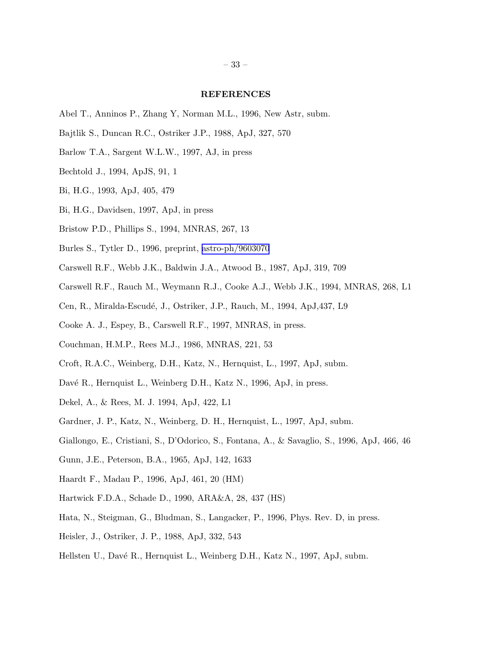#### REFERENCES

- Abel T., Anninos P., Zhang Y, Norman M.L., 1996, New Astr, subm.
- Bajtlik S., Duncan R.C., Ostriker J.P., 1988, ApJ, 327, 570
- Barlow T.A., Sargent W.L.W., 1997, AJ, in press
- Bechtold J., 1994, ApJS, 91, 1
- Bi, H.G., 1993, ApJ, 405, 479
- Bi, H.G., Davidsen, 1997, ApJ, in press
- Bristow P.D., Phillips S., 1994, MNRAS, 267, 13
- Burles S., Tytler D., 1996, preprint, [astro-ph/9603070](http://arXiv.org/abs/astro-ph/9603070)
- Carswell R.F., Webb J.K., Baldwin J.A., Atwood B., 1987, ApJ, 319, 709
- Carswell R.F., Rauch M., Weymann R.J., Cooke A.J., Webb J.K., 1994, MNRAS, 268, L1
- Cen, R., Miralda-Escud´e, J., Ostriker, J.P., Rauch, M., 1994, ApJ,437, L9
- Cooke A. J., Espey, B., Carswell R.F., 1997, MNRAS, in press.
- Couchman, H.M.P., Rees M.J., 1986, MNRAS, 221, 53
- Croft, R.A.C., Weinberg, D.H., Katz, N., Hernquist, L., 1997, ApJ, subm.
- Davé R., Hernquist L., Weinberg D.H., Katz N., 1996, ApJ, in press.
- Dekel, A., & Rees, M. J. 1994, ApJ, 422, L1
- Gardner, J. P., Katz, N., Weinberg, D. H., Hernquist, L., 1997, ApJ, subm.
- Giallongo, E., Cristiani, S., D'Odorico, S., Fontana, A., & Savaglio, S., 1996, ApJ, 466, 46
- Gunn, J.E., Peterson, B.A., 1965, ApJ, 142, 1633
- Haardt F., Madau P., 1996, ApJ, 461, 20 (HM)
- Hartwick F.D.A., Schade D., 1990, ARA&A, 28, 437 (HS)
- Hata, N., Steigman, G., Bludman, S., Langacker, P., 1996, Phys. Rev. D, in press.
- Heisler, J., Ostriker, J. P., 1988, ApJ, 332, 543
- Hellsten U., Davé R., Hernquist L., Weinberg D.H., Katz N., 1997, ApJ, subm.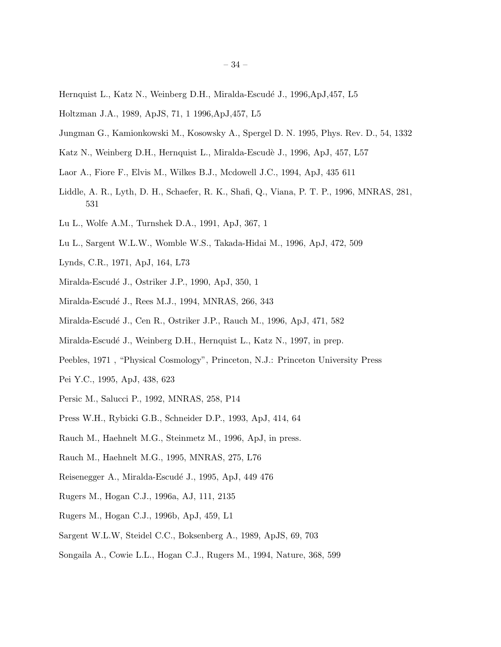- Hernquist L., Katz N., Weinberg D.H., Miralda-Escudé J., 1996,ApJ,457, L5
- Holtzman J.A., 1989, ApJS, 71, 1 1996,ApJ,457, L5
- Jungman G., Kamionkowski M., Kosowsky A., Spergel D. N. 1995, Phys. Rev. D., 54, 1332
- Katz N., Weinberg D.H., Hernquist L., Miralda-Escudè J., 1996, ApJ, 457, L57
- Laor A., Fiore F., Elvis M., Wilkes B.J., Mcdowell J.C., 1994, ApJ, 435 611
- Liddle, A. R., Lyth, D. H., Schaefer, R. K., Shafi, Q., Viana, P. T. P., 1996, MNRAS, 281, 531
- Lu L., Wolfe A.M., Turnshek D.A., 1991, ApJ, 367, 1
- Lu L., Sargent W.L.W., Womble W.S., Takada-Hidai M., 1996, ApJ, 472, 509
- Lynds, C.R., 1971, ApJ, 164, L73
- Miralda-Escudé J., Ostriker J.P., 1990, ApJ, 350, 1
- Miralda-Escudé J., Rees M.J., 1994, MNRAS, 266, 343
- Miralda-Escudé J., Cen R., Ostriker J.P., Rauch M., 1996, ApJ, 471, 582
- Miralda-Escudé J., Weinberg D.H., Hernquist L., Katz N., 1997, in prep.
- Peebles, 1971 , "Physical Cosmology", Princeton, N.J.: Princeton University Press
- Pei Y.C., 1995, ApJ, 438, 623
- Persic M., Salucci P., 1992, MNRAS, 258, P14
- Press W.H., Rybicki G.B., Schneider D.P., 1993, ApJ, 414, 64
- Rauch M., Haehnelt M.G., Steinmetz M., 1996, ApJ, in press.
- Rauch M., Haehnelt M.G., 1995, MNRAS, 275, L76
- Reisenegger A., Miralda-Escudé J., 1995, ApJ, 449 476
- Rugers M., Hogan C.J., 1996a, AJ, 111, 2135
- Rugers M., Hogan C.J., 1996b, ApJ, 459, L1
- Sargent W.L.W, Steidel C.C., Boksenberg A., 1989, ApJS, 69, 703
- Songaila A., Cowie L.L., Hogan C.J., Rugers M., 1994, Nature, 368, 599